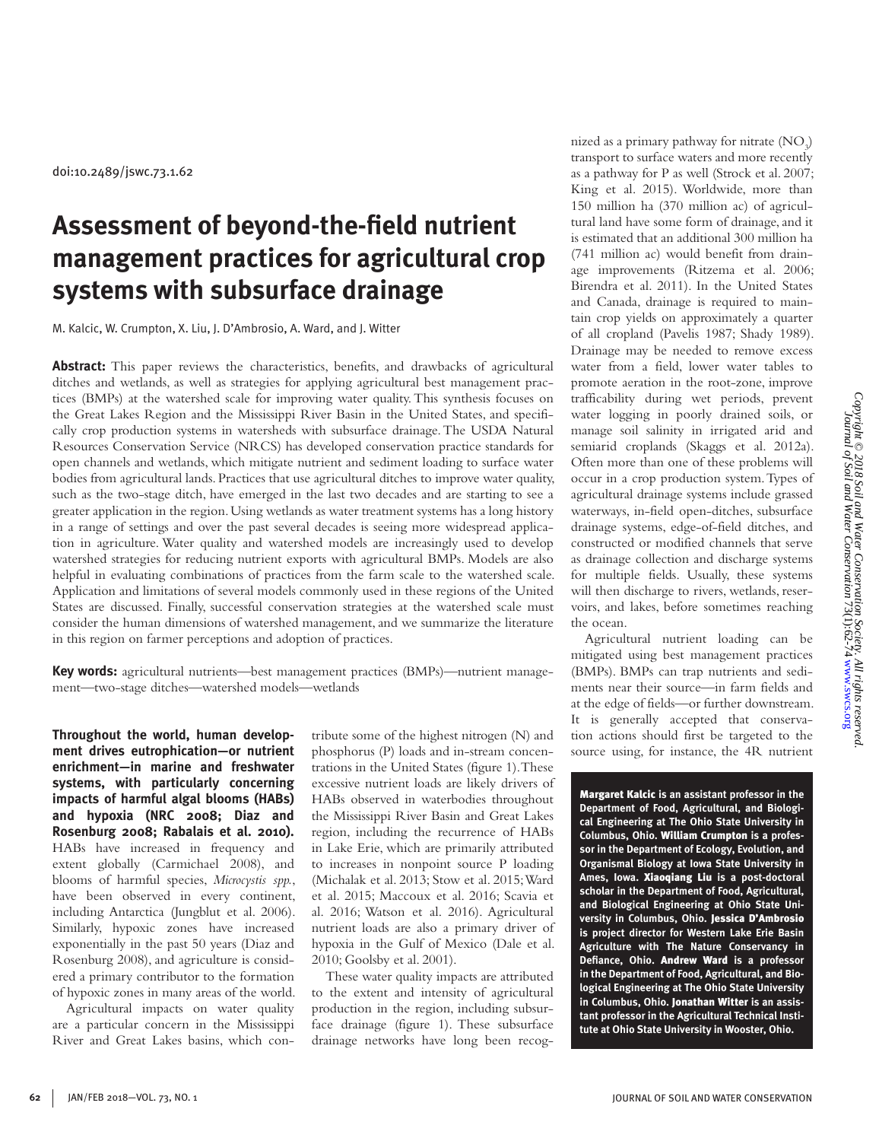doi:10.2489/jswc.73.1.62

# **Assessment of beyond-the-field nutrient management practices for agricultural crop systems with subsurface drainage**

M. Kalcic, W. Crumpton, X. Liu, J. D'Ambrosio, A. Ward, and J. Witter

**Abstract:** This paper reviews the characteristics, benefits, and drawbacks of agricultural ditches and wetlands, as well as strategies for applying agricultural best management practices (BMPs) at the watershed scale for improving water quality. This synthesis focuses on the Great Lakes Region and the Mississippi River Basin in the United States, and specifically crop production systems in watersheds with subsurface drainage. The USDA Natural Resources Conservation Service (NRCS) has developed conservation practice standards for open channels and wetlands, which mitigate nutrient and sediment loading to surface water bodies from agricultural lands. Practices that use agricultural ditches to improve water quality, such as the two-stage ditch, have emerged in the last two decades and are starting to see a greater application in the region. Using wetlands as water treatment systems has a long history in a range of settings and over the past several decades is seeing more widespread application in agriculture. Water quality and watershed models are increasingly used to develop watershed strategies for reducing nutrient exports with agricultural BMPs. Models are also helpful in evaluating combinations of practices from the farm scale to the watershed scale. Application and limitations of several models commonly used in these regions of the United States are discussed. Finally, successful conservation strategies at the watershed scale must consider the human dimensions of watershed management, and we summarize the literature in this region on farmer perceptions and adoption of practices.

**Key words:** agricultural nutrients—best management practices (BMPs)—nutrient management—two-stage ditches—watershed models—wetlands

**Throughout the world, human development drives eutrophication—or nutrient enrichment—in marine and freshwater systems, with particularly concerning impacts of harmful algal blooms (HABs) and hypoxia (NRC 2008; Diaz and Rosenburg 2008; Rabalais et al. 2010).** HABs have increased in frequency and extent globally (Carmichael 2008), and blooms of harmful species, *Microcystis spp.*, have been observed in every continent, including Antarctica (Jungblut et al. 2006). Similarly, hypoxic zones have increased exponentially in the past 50 years (Diaz and Rosenburg 2008), and agriculture is considered a primary contributor to the formation of hypoxic zones in many areas of the world.

Agricultural impacts on water quality are a particular concern in the Mississippi River and Great Lakes basins, which contribute some of the highest nitrogen (N) and phosphorus (P) loads and in-stream concentrations in the United States (figure 1). These excessive nutrient loads are likely drivers of HABs observed in waterbodies throughout the Mississippi River Basin and Great Lakes region, including the recurrence of HABs in Lake Erie, which are primarily attributed to increases in nonpoint source P loading (Michalak et al. 2013; Stow et al. 2015; Ward et al. 2015; Maccoux et al. 2016; Scavia et al. 2016; Watson et al. 2016). Agricultural nutrient loads are also a primary driver of hypoxia in the Gulf of Mexico (Dale et al. 2010; Goolsby et al. 2001).

These water quality impacts are attributed to the extent and intensity of agricultural production in the region, including subsurface drainage (figure 1). These subsurface drainage networks have long been recog-

nized as a primary pathway for nitrate  $(\text{NO}_3)$ transport to surface waters and more recently as a pathway for P as well (Strock et al. 2007; King et al. 2015). Worldwide, more than 150 million ha (370 million ac) of agricultural land have some form of drainage, and it is estimated that an additional 300 million ha (741 million ac) would benefit from drainage improvements (Ritzema et al. 2006; Birendra et al. 2011). In the United States and Canada, drainage is required to maintain crop yields on approximately a quarter of all cropland (Pavelis 1987; Shady 1989). Drainage may be needed to remove excess water from a field, lower water tables to promote aeration in the root-zone, improve trafficability during wet periods, prevent water logging in poorly drained soils, or manage soil salinity in irrigated arid and semiarid croplands (Skaggs et al. 2012a). Often more than one of these problems will occur in a crop production system. Types of agricultural drainage systems include grassed waterways, in-field open-ditches, subsurface drainage systems, edge-of-field ditches, and constructed or modified channels that serve as drainage collection and discharge systems for multiple fields. Usually, these systems will then discharge to rivers, wetlands, reservoirs, and lakes, before sometimes reaching the ocean.

Agricultural nutrient loading can be mitigated using best management practices (BMPs). BMPs can trap nutrients and sediments near their source—in farm fields and at the edge of fields—or further downstream. It is generally accepted that conservation actions should first be targeted to the source using, for instance, the 4R nutrient

Margaret Kalcic **is an assistant professor in the Department of Food, Agricultural, and Biological Engineering at The Ohio State University in Columbus, Ohio.** William Crumpton **is a professor in the Department of Ecology, Evolution, and Organismal Biology at Iowa State University in Ames, Iowa.** Xiaoqiang Liu **is a post-doctoral scholar in the Department of Food, Agricultural, and Biological Engineering at Ohio State University in Columbus, Ohio.** Jessica D'Ambrosio **is project director for Western Lake Erie Basin Agriculture with The Nature Conservancy in Defiance, Ohio.** Andrew Ward **is a professor in the Department of Food, Agricultural, and Biological Engineering at The Ohio State University in Columbus, Ohio.** Jonathan Witter **is an assistant professor in the Agricultural Technical Institute at Ohio State University in Wooster, Ohio.**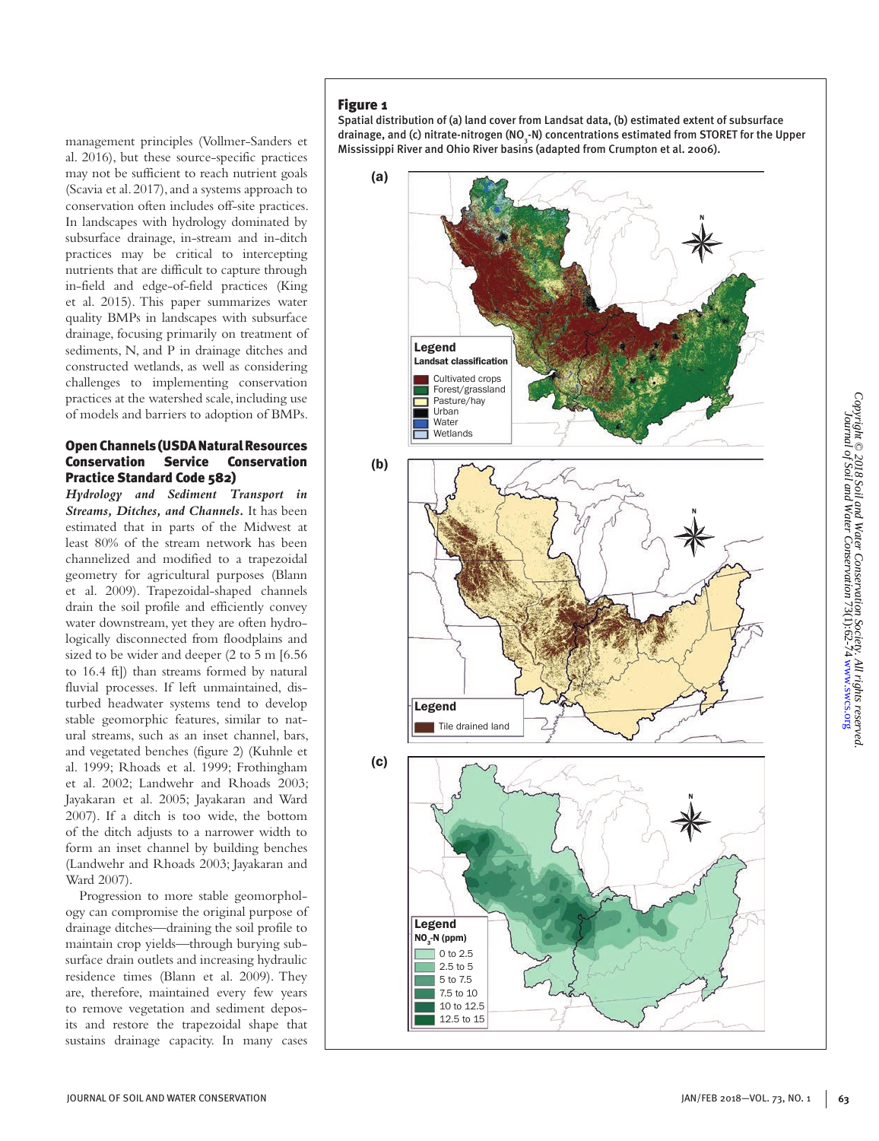management principles (Vollmer-Sanders et al. 2016), but these source-specific practices may not be sufficient to reach nutrient goals (Scavia et al. 2017), and a systems approach to conservation often includes off-site practices. In landscapes with hydrology dominated by subsurface drainage, in-stream and in-ditch practices may be critical to intercepting nutrients that are difficult to capture through in-field and edge-of-field practices (King et al. 2015). This paper summarizes water quality BMPs in landscapes with subsurface drainage, focusing primarily on treatment of sediments, N, and P in drainage ditches and constructed wetlands, as well as considering challenges to implementing conservation practices at the watershed scale, including use of models and barriers to adoption of BMPs.

# Open Channels (USDA Natural Resources Conservation Service Conservation Practice Standard Code 582)

*Hydrology and Sediment Transport in Streams, Ditches, and Channels.* It has been estimated that in parts of the Midwest at least 80% of the stream network has been channelized and modified to a trapezoidal geometry for agricultural purposes (Blann et al. 2009). Trapezoidal-shaped channels drain the soil profile and efficiently convey water downstream, yet they are often hydrologically disconnected from floodplains and sized to be wider and deeper (2 to 5 m [6.56 to 16.4 ft]) than streams formed by natural fluvial processes. If left unmaintained, disturbed headwater systems tend to develop stable geomorphic features, similar to natural streams, such as an inset channel, bars, and vegetated benches (figure 2) (Kuhnle et al. 1999; Rhoads et al. 1999; Frothingham et al. 2002; Landwehr and Rhoads 2003; Jayakaran et al. 2005; Jayakaran and Ward 2007). If a ditch is too wide, the bottom of the ditch adjusts to a narrower width to form an inset channel by building benches (Landwehr and Rhoads 2003; Jayakaran and Ward 2007).

Progression to more stable geomorphology can compromise the original purpose of drainage ditches—draining the soil profile to maintain crop yields—through burying subsurface drain outlets and increasing hydraulic residence times (Blann et al. 2009). They are, therefore, maintained every few years to remove vegetation and sediment deposits and restore the trapezoidal shape that sustains drainage capacity. In many cases

## Figure 1

Spatial distribution of (a) land cover from Landsat data, (b) estimated extent of subsurface drainage, and (c) nitrate-nitrogen (NO<sub>3</sub>-N) concentrations estimated from STORET for the Upper Mississippi River and Ohio River basins (adapted from Crumpton et al. 2006).

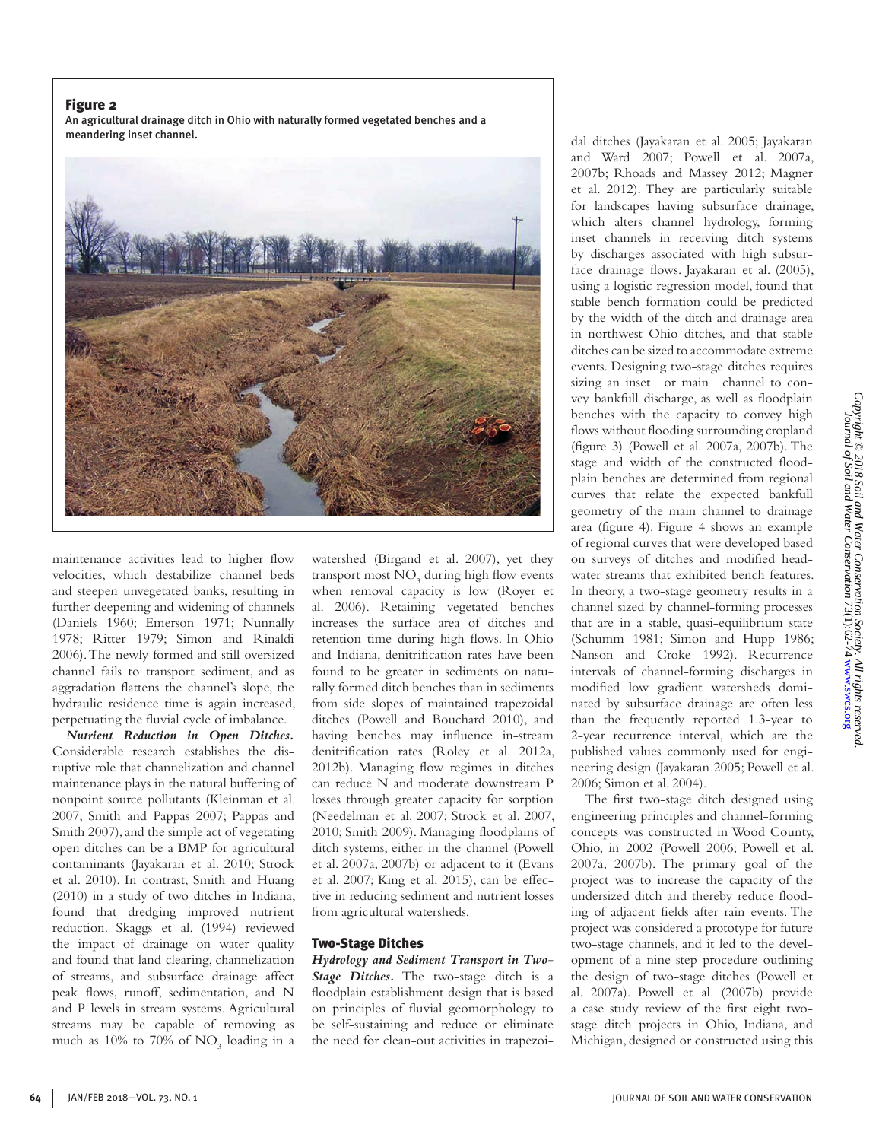# Figure 2

An agricultural drainage ditch in Ohio with naturally formed vegetated benches and a meandering inset channel.



maintenance activities lead to higher flow velocities, which destabilize channel beds and steepen unvegetated banks, resulting in further deepening and widening of channels (Daniels 1960; Emerson 1971; Nunnally 1978; Ritter 1979; Simon and Rinaldi 2006). The newly formed and still oversized channel fails to transport sediment, and as aggradation flattens the channel's slope, the hydraulic residence time is again increased, perpetuating the fluvial cycle of imbalance.

*Nutrient Reduction in Open Ditches.*  Considerable research establishes the disruptive role that channelization and channel maintenance plays in the natural buffering of nonpoint source pollutants (Kleinman et al. 2007; Smith and Pappas 2007; Pappas and Smith 2007), and the simple act of vegetating open ditches can be a BMP for agricultural contaminants (Jayakaran et al. 2010; Strock et al. 2010). In contrast, Smith and Huang (2010) in a study of two ditches in Indiana, found that dredging improved nutrient reduction. Skaggs et al. (1994) reviewed the impact of drainage on water quality and found that land clearing, channelization of streams, and subsurface drainage affect peak flows, runoff, sedimentation, and N and P levels in stream systems. Agricultural streams may be capable of removing as much as 10% to 70% of  $\mathrm{NO}_3$  loading in a watershed (Birgand et al. 2007), yet they transport most  $\mathrm{NO}_3$  during high flow events when removal capacity is low (Royer et al. 2006). Retaining vegetated benches increases the surface area of ditches and retention time during high flows. In Ohio and Indiana, denitrification rates have been found to be greater in sediments on naturally formed ditch benches than in sediments from side slopes of maintained trapezoidal ditches (Powell and Bouchard 2010), and having benches may influence in-stream denitrification rates (Roley et al. 2012a, 2012b). Managing flow regimes in ditches can reduce N and moderate downstream P losses through greater capacity for sorption (Needelman et al. 2007; Strock et al. 2007, 2010; Smith 2009). Managing floodplains of ditch systems, either in the channel (Powell et al. 2007a, 2007b) or adjacent to it (Evans et al. 2007; King et al. 2015), can be effective in reducing sediment and nutrient losses from agricultural watersheds.

## Two-Stage Ditches

*Hydrology and Sediment Transport in Two-Stage Ditches.* The two-stage ditch is a floodplain establishment design that is based on principles of fluvial geomorphology to be self-sustaining and reduce or eliminate the need for clean-out activities in trapezoidal ditches (Jayakaran et al. 2005; Jayakaran and Ward 2007; Powell et al. 2007a, 2007b; Rhoads and Massey 2012; Magner et al. 2012). They are particularly suitable for landscapes having subsurface drainage, which alters channel hydrology, forming inset channels in receiving ditch systems by discharges associated with high subsurface drainage flows. Jayakaran et al. (2005), using a logistic regression model, found that stable bench formation could be predicted by the width of the ditch and drainage area in northwest Ohio ditches, and that stable ditches can be sized to accommodate extreme events. Designing two-stage ditches requires sizing an inset—or main—channel to convey bankfull discharge, as well as floodplain benches with the capacity to convey high flows without flooding surrounding cropland (figure 3) (Powell et al. 2007a, 2007b). The stage and width of the constructed floodplain benches are determined from regional curves that relate the expected bankfull geometry of the main channel to drainage area (figure 4). Figure 4 shows an example of regional curves that were developed based on surveys of ditches and modified headwater streams that exhibited bench features. In theory, a two-stage geometry results in a channel sized by channel-forming processes that are in a stable, quasi-equilibrium state (Schumm 1981; Simon and Hupp 1986; Nanson and Croke 1992). Recurrence intervals of channel-forming discharges in modified low gradient watersheds dominated by subsurface drainage are often less than the frequently reported 1.3-year to 2-year recurrence interval, which are the published values commonly used for engineering design (Jayakaran 2005; Powell et al. 2006; Simon et al. 2004).

The first two-stage ditch designed using engineering principles and channel-forming concepts was constructed in Wood County, Ohio, in 2002 (Powell 2006; Powell et al. 2007a, 2007b). The primary goal of the project was to increase the capacity of the undersized ditch and thereby reduce flooding of adjacent fields after rain events. The project was considered a prototype for future two-stage channels, and it led to the development of a nine-step procedure outlining the design of two-stage ditches (Powell et al. 2007a). Powell et al. (2007b) provide a case study review of the first eight twostage ditch projects in Ohio, Indiana, and Michigan, designed or constructed using this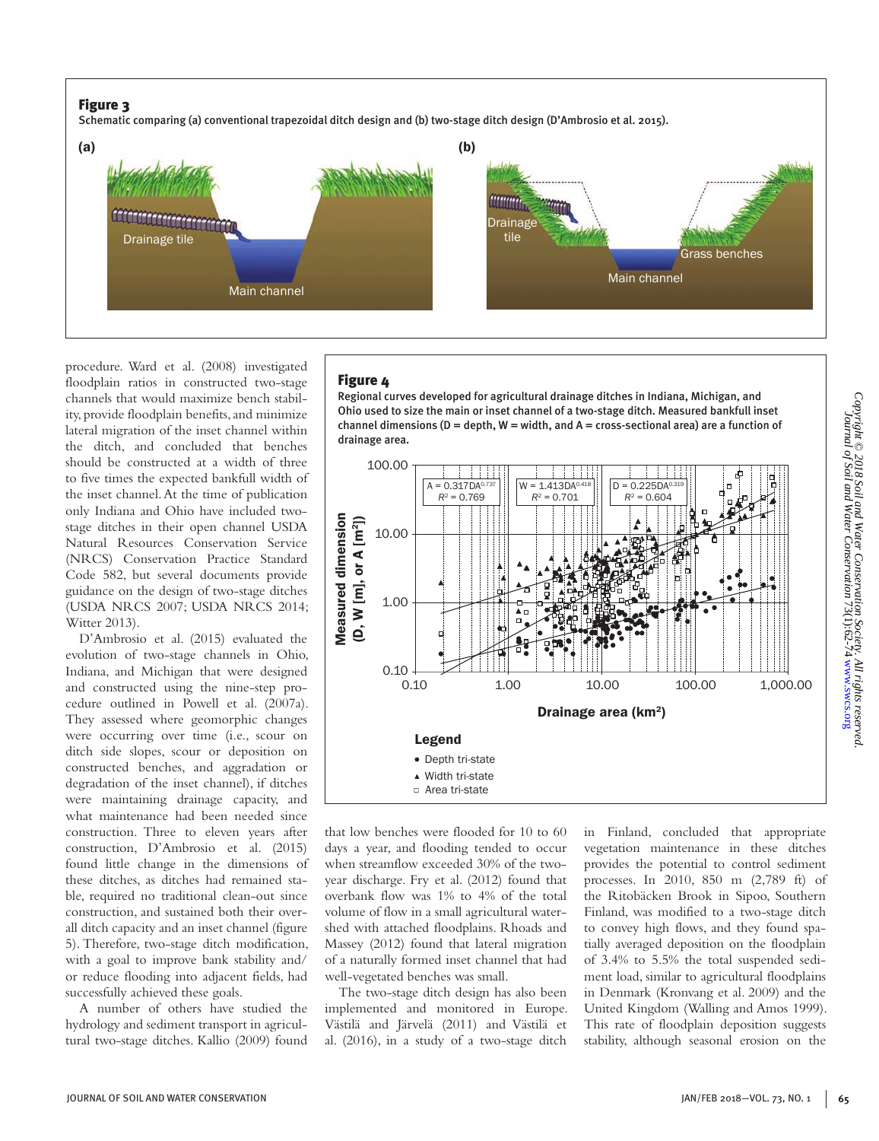

procedure. Ward et al. (2008) investigated floodplain ratios in constructed two-stage channels that would maximize bench stability, provide floodplain benefits, and minimize lateral migration of the inset channel within the ditch, and concluded that benches should be constructed at a width of three to five times the expected bankfull width of the inset channel. At the time of publication only Indiana and Ohio have included twostage ditches in their open channel USDA Natural Resources Conservation Service (NRCS) Conservation Practice Standard Code 582, but several documents provide guidance on the design of two-stage ditches (USDA NRCS 2007; USDA NRCS 2014; Witter 2013).

D'Ambrosio et al. (2015) evaluated the evolution of two-stage channels in Ohio, Indiana, and Michigan that were designed and constructed using the nine-step procedure outlined in Powell et al. (2007a). They assessed where geomorphic changes were occurring over time (i.e., scour on ditch side slopes, scour or deposition on constructed benches, and aggradation or degradation of the inset channel), if ditches were maintaining drainage capacity, and what maintenance had been needed since construction. Three to eleven years after construction, D'Ambrosio et al. (2015) found little change in the dimensions of these ditches, as ditches had remained stable, required no traditional clean-out since construction, and sustained both their overall ditch capacity and an inset channel (figure 5). Therefore, two-stage ditch modification, with a goal to improve bank stability and/ or reduce flooding into adjacent fields, had successfully achieved these goals.

A number of others have studied the hydrology and sediment transport in agricultural two-stage ditches. Kallio (2009) found

#### Figure 4





that low benches were flooded for 10 to 60 days a year, and flooding tended to occur when streamflow exceeded 30% of the twoyear discharge. Fry et al. (2012) found that overbank flow was 1% to 4% of the total volume of flow in a small agricultural watershed with attached floodplains. Rhoads and Massey (2012) found that lateral migration of a naturally formed inset channel that had well-vegetated benches was small.

The two-stage ditch design has also been implemented and monitored in Europe. Västilä and Järvelä (2011) and Västilä et al. (2016), in a study of a two-stage ditch in Finland, concluded that appropriate vegetation maintenance in these ditches provides the potential to control sediment processes. In 2010, 850 m (2,789 ft) of the Ritobäcken Brook in Sipoo, Southern Finland, was modified to a two-stage ditch to convey high flows, and they found spatially averaged deposition on the floodplain of 3.4% to 5.5% the total suspended sediment load, similar to agricultural floodplains in Denmark (Kronvang et al. 2009) and the United Kingdom (Walling and Amos 1999). This rate of floodplain deposition suggests stability, although seasonal erosion on the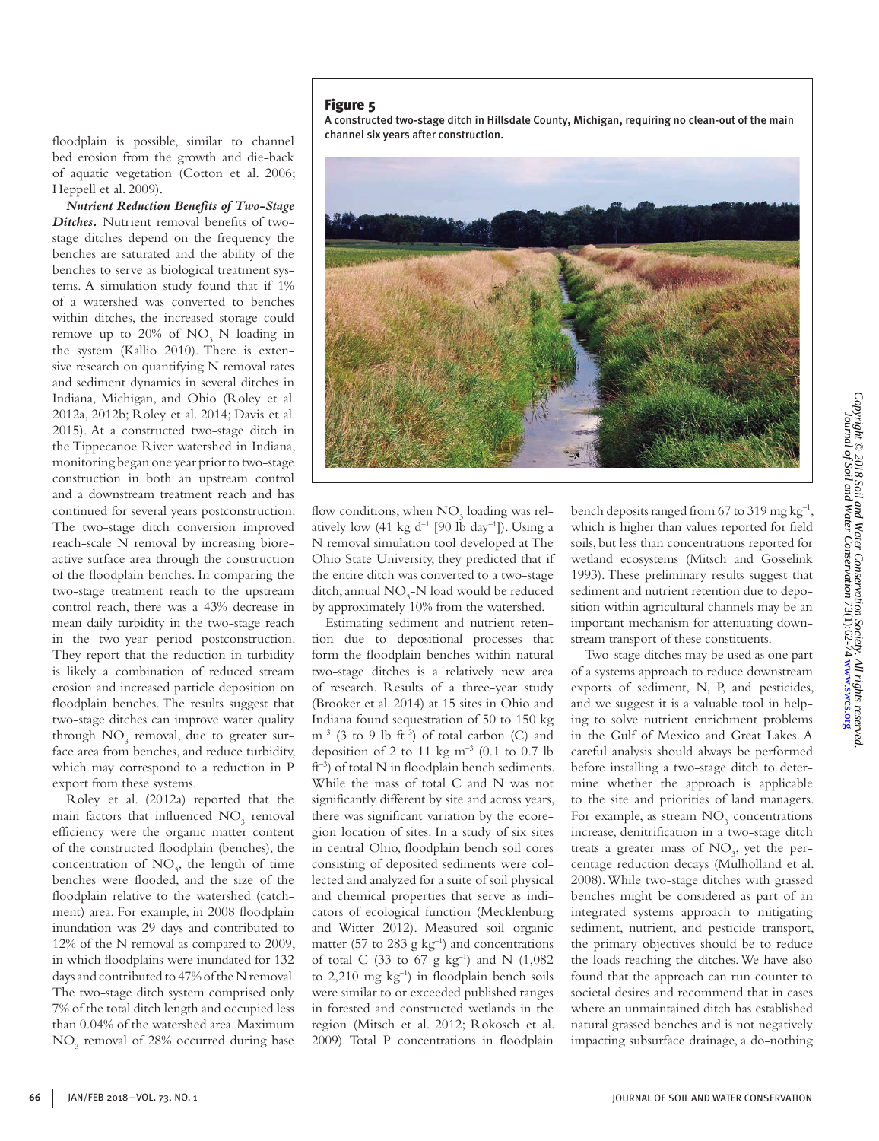# Figure 5

A constructed two-stage ditch in Hillsdale County, Michigan, requiring no clean-out of the main



flow conditions, when  $\rm NO_3$  loading was relatively low (41 kg  $d^{-1}$  [90 lb day<sup>-1</sup>]). Using a N removal simulation tool developed at The Ohio State University, they predicted that if the entire ditch was converted to a two-stage ditch, annual  $\rm NO_{3}^-N$  load would be reduced by approximately 10% from the watershed.

Estimating sediment and nutrient retention due to depositional processes that form the floodplain benches within natural two-stage ditches is a relatively new area of research. Results of a three-year study (Brooker et al. 2014) at 15 sites in Ohio and Indiana found sequestration of 50 to 150 kg  $m^{-3}$  (3 to 9 lb ft<sup>-3</sup>) of total carbon (C) and deposition of 2 to 11 kg  $\text{m}^{-3}$  (0.1 to 0.7 lb  $ft^{-3}$ ) of total N in floodplain bench sediments. While the mass of total C and N was not significantly different by site and across years, there was significant variation by the ecoregion location of sites. In a study of six sites in central Ohio, floodplain bench soil cores consisting of deposited sediments were collected and analyzed for a suite of soil physical and chemical properties that serve as indicators of ecological function (Mecklenburg and Witter 2012). Measured soil organic matter (57 to 283 g  $kg^{-1}$ ) and concentrations of total C (33 to 67 g kg–1) and N (1,082 to  $2,210$  mg kg<sup>-1</sup>) in floodplain bench soils were similar to or exceeded published ranges in forested and constructed wetlands in the region (Mitsch et al. 2012; Rokosch et al. 2009). Total P concentrations in floodplain

bench deposits ranged from 67 to 319 mg kg–1, which is higher than values reported for field soils, but less than concentrations reported for wetland ecosystems (Mitsch and Gosselink 1993). These preliminary results suggest that sediment and nutrient retention due to deposition within agricultural channels may be an important mechanism for attenuating downstream transport of these constituents.

Two-stage ditches may be used as one part of a systems approach to reduce downstream exports of sediment, N, P, and pesticides, and we suggest it is a valuable tool in helping to solve nutrient enrichment problems in the Gulf of Mexico and Great Lakes. A careful analysis should always be performed before installing a two-stage ditch to determine whether the approach is applicable to the site and priorities of land managers. For example, as stream  $NO<sub>3</sub>$  concentrations increase, denitrification in a two-stage ditch treats a greater mass of  $NO_3$ , yet the percentage reduction decays (Mulholland et al. 2008). While two-stage ditches with grassed benches might be considered as part of an integrated systems approach to mitigating sediment, nutrient, and pesticide transport, the primary objectives should be to reduce the loads reaching the ditches. We have also found that the approach can run counter to societal desires and recommend that in cases where an unmaintained ditch has established natural grassed benches and is not negatively impacting subsurface drainage, a do-nothing

floodplain is possible, similar to channel | channel six years after construction. bed erosion from the growth and die-back of aquatic vegetation (Cotton et al. 2006; Heppell et al. 2009).

*Nutrient Reduction Benefits of Two-Stage Ditches.* Nutrient removal benefits of twostage ditches depend on the frequency the benches are saturated and the ability of the benches to serve as biological treatment systems. A simulation study found that if 1% of a watershed was converted to benches within ditches, the increased storage could remove up to 20% of  $NO_3$ -N loading in the system (Kallio 2010). There is extensive research on quantifying N removal rates and sediment dynamics in several ditches in Indiana, Michigan, and Ohio (Roley et al. 2012a, 2012b; Roley et al. 2014; Davis et al. 2015). At a constructed two-stage ditch in the Tippecanoe River watershed in Indiana, monitoring began one year prior to two-stage construction in both an upstream control and a downstream treatment reach and has continued for several years postconstruction. The two-stage ditch conversion improved reach-scale N removal by increasing bioreactive surface area through the construction of the floodplain benches. In comparing the two-stage treatment reach to the upstream control reach, there was a 43% decrease in mean daily turbidity in the two-stage reach in the two-year period postconstruction. They report that the reduction in turbidity is likely a combination of reduced stream erosion and increased particle deposition on floodplain benches. The results suggest that two-stage ditches can improve water quality through  $NO<sub>3</sub>$  removal, due to greater surface area from benches, and reduce turbidity, which may correspond to a reduction in P export from these systems.

Roley et al. (2012a) reported that the main factors that influenced  $\mathrm{NO}_3^-$  removal efficiency were the organic matter content of the constructed floodplain (benches), the concentration of  $NO<sub>3</sub>$ , the length of time benches were flooded, and the size of the floodplain relative to the watershed (catchment) area. For example, in 2008 floodplain inundation was 29 days and contributed to 12% of the N removal as compared to 2009, in which floodplains were inundated for 132 days and contributed to 47% of the N removal. The two-stage ditch system comprised only 7% of the total ditch length and occupied less than 0.04% of the watershed area. Maximum NO<sub>3</sub> removal of 28% occurred during base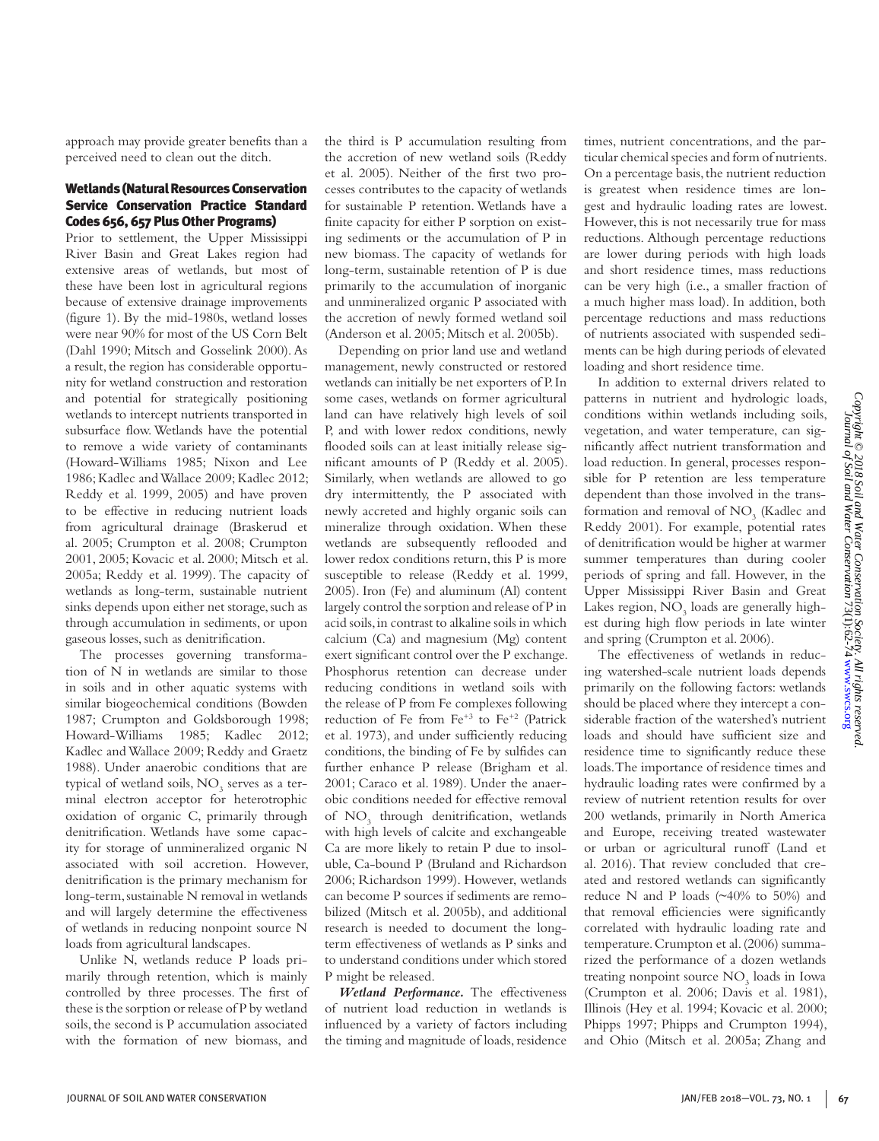approach may provide greater benefits than a perceived need to clean out the ditch.

## Wetlands (Natural Resources Conservation Service Conservation Practice Standard Codes 656, 657 Plus Other Programs)

Prior to settlement, the Upper Mississippi River Basin and Great Lakes region had extensive areas of wetlands, but most of these have been lost in agricultural regions because of extensive drainage improvements (figure 1). By the mid-1980s, wetland losses were near 90% for most of the US Corn Belt (Dahl 1990; Mitsch and Gosselink 2000). As a result, the region has considerable opportunity for wetland construction and restoration and potential for strategically positioning wetlands to intercept nutrients transported in subsurface flow. Wetlands have the potential to remove a wide variety of contaminants (Howard-Williams 1985; Nixon and Lee 1986; Kadlec and Wallace 2009; Kadlec 2012; Reddy et al. 1999, 2005) and have proven to be effective in reducing nutrient loads from agricultural drainage (Braskerud et al. 2005; Crumpton et al. 2008; Crumpton 2001, 2005; Kovacic et al. 2000; Mitsch et al. 2005a; Reddy et al. 1999). The capacity of wetlands as long-term, sustainable nutrient sinks depends upon either net storage, such as through accumulation in sediments, or upon gaseous losses, such as denitrification.

The processes governing transformation of N in wetlands are similar to those in soils and in other aquatic systems with similar biogeochemical conditions (Bowden 1987; Crumpton and Goldsborough 1998; Howard-Williams 1985; Kadlec 2012; Kadlec and Wallace 2009; Reddy and Graetz 1988). Under anaerobic conditions that are typical of wetland soils,  $NO<sub>3</sub>$  serves as a terminal electron acceptor for heterotrophic oxidation of organic C, primarily through denitrification. Wetlands have some capacity for storage of unmineralized organic N associated with soil accretion. However, denitrification is the primary mechanism for long-term, sustainable N removal in wetlands and will largely determine the effectiveness of wetlands in reducing nonpoint source N loads from agricultural landscapes.

Unlike N, wetlands reduce P loads primarily through retention, which is mainly controlled by three processes. The first of these is the sorption or release of P by wetland soils, the second is P accumulation associated with the formation of new biomass, and the third is P accumulation resulting from the accretion of new wetland soils (Reddy et al. 2005). Neither of the first two processes contributes to the capacity of wetlands for sustainable P retention. Wetlands have a finite capacity for either P sorption on existing sediments or the accumulation of P in new biomass. The capacity of wetlands for long-term, sustainable retention of P is due primarily to the accumulation of inorganic and unmineralized organic P associated with the accretion of newly formed wetland soil (Anderson et al. 2005; Mitsch et al. 2005b).

Depending on prior land use and wetland management, newly constructed or restored wetlands can initially be net exporters of P. In some cases, wetlands on former agricultural land can have relatively high levels of soil P, and with lower redox conditions, newly flooded soils can at least initially release significant amounts of P (Reddy et al. 2005). Similarly, when wetlands are allowed to go dry intermittently, the P associated with newly accreted and highly organic soils can mineralize through oxidation. When these wetlands are subsequently reflooded and lower redox conditions return, this P is more susceptible to release (Reddy et al. 1999, 2005). Iron (Fe) and aluminum (Al) content largely control the sorption and release of P in acid soils, in contrast to alkaline soils in which calcium (Ca) and magnesium (Mg) content exert significant control over the P exchange. Phosphorus retention can decrease under reducing conditions in wetland soils with the release of P from Fe complexes following reduction of Fe from  $Fe<sup>+3</sup>$  to  $Fe<sup>+2</sup>$  (Patrick et al. 1973), and under sufficiently reducing conditions, the binding of Fe by sulfides can further enhance P release (Brigham et al. 2001; Caraco et al. 1989). Under the anaerobic conditions needed for effective removal of NO<sub>3</sub> through denitrification, wetlands with high levels of calcite and exchangeable Ca are more likely to retain P due to insoluble, Ca-bound P (Bruland and Richardson 2006; Richardson 1999). However, wetlands can become P sources if sediments are remobilized (Mitsch et al. 2005b), and additional research is needed to document the longterm effectiveness of wetlands as P sinks and to understand conditions under which stored P might be released.

*Wetland Performance.* The effectiveness of nutrient load reduction in wetlands is influenced by a variety of factors including the timing and magnitude of loads, residence

times, nutrient concentrations, and the particular chemical species and form of nutrients. On a percentage basis, the nutrient reduction is greatest when residence times are longest and hydraulic loading rates are lowest. However, this is not necessarily true for mass reductions. Although percentage reductions are lower during periods with high loads and short residence times, mass reductions can be very high (i.e., a smaller fraction of a much higher mass load). In addition, both percentage reductions and mass reductions of nutrients associated with suspended sediments can be high during periods of elevated loading and short residence time.

In addition to external drivers related to patterns in nutrient and hydrologic loads, conditions within wetlands including soils, vegetation, and water temperature, can significantly affect nutrient transformation and load reduction. In general, processes responsible for P retention are less temperature dependent than those involved in the transformation and removal of  $\mathrm{NO}_3^{\vphantom{1}}$  (Kadlec and Reddy 2001). For example, potential rates of denitrification would be higher at warmer summer temperatures than during cooler periods of spring and fall. However, in the Upper Mississippi River Basin and Great Lakes region,  $\text{NO}_3$  loads are generally highest during high flow periods in late winter and spring (Crumpton et al. 2006).

The effectiveness of wetlands in reducing watershed-scale nutrient loads depends primarily on the following factors: wetlands should be placed where they intercept a considerable fraction of the watershed's nutrient loads and should have sufficient size and residence time to significantly reduce these loads. The importance of residence times and hydraulic loading rates were confirmed by a review of nutrient retention results for over 200 wetlands, primarily in North America and Europe, receiving treated wastewater or urban or agricultural runoff (Land et al. 2016). That review concluded that created and restored wetlands can significantly reduce N and P loads (~40% to 50%) and that removal efficiencies were significantly correlated with hydraulic loading rate and temperature. Crumpton et al. (2006) summarized the performance of a dozen wetlands treating nonpoint source  $\mathrm{NO}_3$  loads in Iowa (Crumpton et al. 2006; Davis et al. 1981), Illinois (Hey et al. 1994; Kovacic et al. 2000; Phipps 1997; Phipps and Crumpton 1994), and Ohio (Mitsch et al. 2005a; Zhang and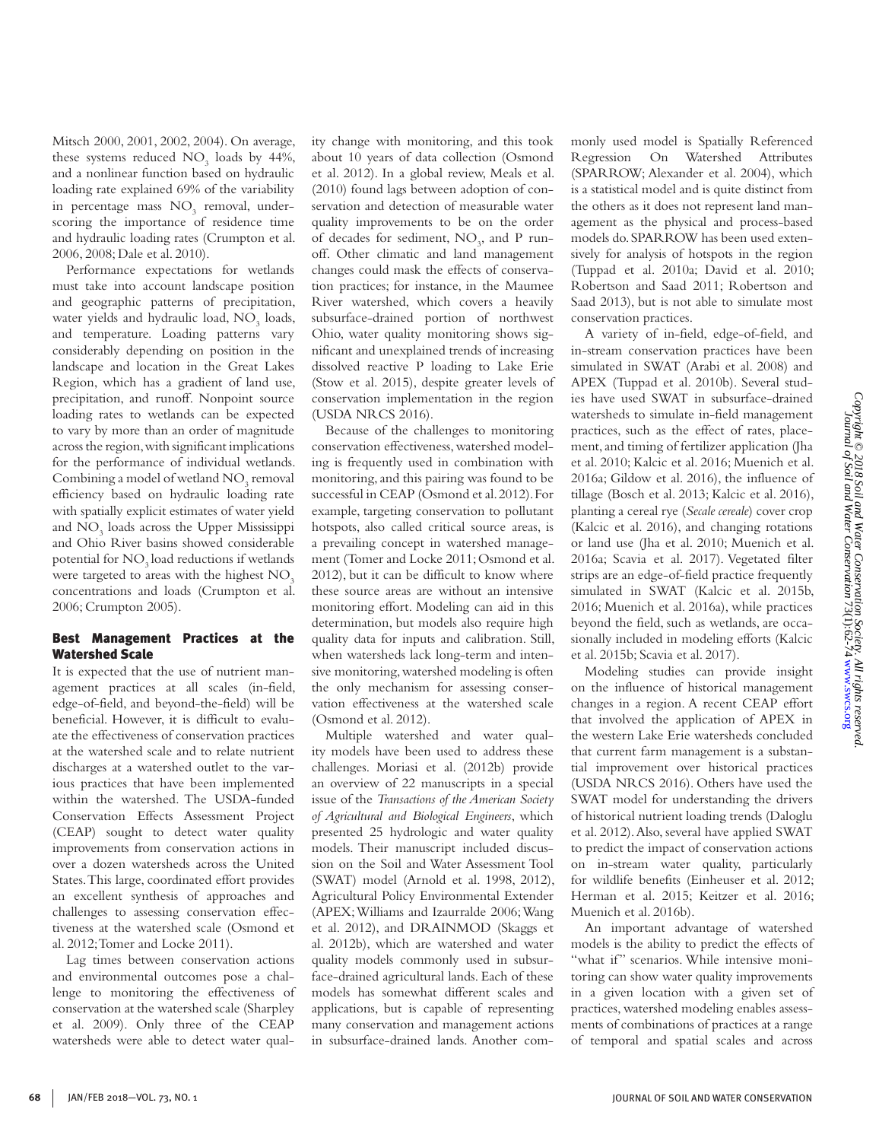Mitsch 2000, 2001, 2002, 2004). On average, these systems reduced  $NO_3$  loads by 44%, and a nonlinear function based on hydraulic loading rate explained 69% of the variability in percentage mass  $NO<sub>3</sub>$  removal, underscoring the importance of residence time and hydraulic loading rates (Crumpton et al. 2006, 2008; Dale et al. 2010).

Performance expectations for wetlands must take into account landscape position and geographic patterns of precipitation, water yields and hydraulic load,  $\mathrm{NO}_3$  loads, and temperature. Loading patterns vary considerably depending on position in the landscape and location in the Great Lakes Region, which has a gradient of land use, precipitation, and runoff. Nonpoint source loading rates to wetlands can be expected to vary by more than an order of magnitude across the region, with significant implications for the performance of individual wetlands. Combining a model of wetland  $\mathrm{NO}_3$  removal efficiency based on hydraulic loading rate with spatially explicit estimates of water yield and  $\mathrm{NO}_3$  loads across the Upper Mississippi and Ohio River basins showed considerable potential for NO<sub>3</sub> load reductions if wetlands were targeted to areas with the highest  $NO<sub>3</sub>$ concentrations and loads (Crumpton et al. 2006; Crumpton 2005).

## Best Management Practices at the Watershed Scale

It is expected that the use of nutrient management practices at all scales (in-field, edge-of-field, and beyond-the-field) will be beneficial. However, it is difficult to evaluate the effectiveness of conservation practices at the watershed scale and to relate nutrient discharges at a watershed outlet to the various practices that have been implemented within the watershed. The USDA-funded Conservation Effects Assessment Project (CEAP) sought to detect water quality improvements from conservation actions in over a dozen watersheds across the United States. This large, coordinated effort provides an excellent synthesis of approaches and challenges to assessing conservation effectiveness at the watershed scale (Osmond et al. 2012; Tomer and Locke 2011).

Lag times between conservation actions and environmental outcomes pose a challenge to monitoring the effectiveness of conservation at the watershed scale (Sharpley et al. 2009). Only three of the CEAP watersheds were able to detect water quality change with monitoring, and this took about 10 years of data collection (Osmond et al. 2012). In a global review, Meals et al. (2010) found lags between adoption of conservation and detection of measurable water quality improvements to be on the order of decades for sediment,  $NO_3$ , and P runoff. Other climatic and land management changes could mask the effects of conservation practices; for instance, in the Maumee River watershed, which covers a heavily subsurface-drained portion of northwest Ohio, water quality monitoring shows significant and unexplained trends of increasing dissolved reactive P loading to Lake Erie (Stow et al. 2015), despite greater levels of conservation implementation in the region (USDA NRCS 2016).

Because of the challenges to monitoring conservation effectiveness, watershed modeling is frequently used in combination with monitoring, and this pairing was found to be successful in CEAP (Osmond et al. 2012). For example, targeting conservation to pollutant hotspots, also called critical source areas, is a prevailing concept in watershed management (Tomer and Locke 2011; Osmond et al. 2012), but it can be difficult to know where these source areas are without an intensive monitoring effort. Modeling can aid in this determination, but models also require high quality data for inputs and calibration. Still, when watersheds lack long-term and intensive monitoring, watershed modeling is often the only mechanism for assessing conservation effectiveness at the watershed scale (Osmond et al. 2012).

Multiple watershed and water quality models have been used to address these challenges. Moriasi et al. (2012b) provide an overview of 22 manuscripts in a special issue of the *Transactions of the American Society of Agricultural and Biological Engineers*, which presented 25 hydrologic and water quality models. Their manuscript included discussion on the Soil and Water Assessment Tool (SWAT) model (Arnold et al. 1998, 2012), Agricultural Policy Environmental Extender (APEX; Williams and Izaurralde 2006; Wang et al. 2012), and DRAINMOD (Skaggs et al. 2012b), which are watershed and water quality models commonly used in subsurface-drained agricultural lands. Each of these models has somewhat different scales and applications, but is capable of representing many conservation and management actions in subsurface-drained lands. Another commonly used model is Spatially Referenced Regression On Watershed Attributes (SPARROW; Alexander et al. 2004), which is a statistical model and is quite distinct from the others as it does not represent land management as the physical and process-based models do. SPARROW has been used extensively for analysis of hotspots in the region (Tuppad et al. 2010a; David et al. 2010; Robertson and Saad 2011; Robertson and Saad 2013), but is not able to simulate most conservation practices.

A variety of in-field, edge-of-field, and in-stream conservation practices have been simulated in SWAT (Arabi et al. 2008) and APEX (Tuppad et al. 2010b). Several studies have used SWAT in subsurface-drained watersheds to simulate in-field management practices, such as the effect of rates, placement, and timing of fertilizer application (Jha et al. 2010; Kalcic et al. 2016; Muenich et al. 2016a; Gildow et al. 2016), the influence of tillage (Bosch et al. 2013; Kalcic et al. 2016), planting a cereal rye (*Secale cereale*) cover crop (Kalcic et al. 2016), and changing rotations or land use (Jha et al. 2010; Muenich et al. 2016a; Scavia et al. 2017). Vegetated filter strips are an edge-of-field practice frequently simulated in SWAT (Kalcic et al. 2015b, 2016; Muenich et al. 2016a), while practices beyond the field, such as wetlands, are occasionally included in modeling efforts (Kalcic et al. 2015b; Scavia et al. 2017).

Modeling studies can provide insight on the influence of historical management changes in a region. A recent CEAP effort that involved the application of APEX in the western Lake Erie watersheds concluded that current farm management is a substantial improvement over historical practices (USDA NRCS 2016). Others have used the SWAT model for understanding the drivers of historical nutrient loading trends (Daloglu et al. 2012). Also, several have applied SWAT to predict the impact of conservation actions on in-stream water quality, particularly for wildlife benefits (Einheuser et al. 2012; Herman et al. 2015; Keitzer et al. 2016; Muenich et al. 2016b).

An important advantage of watershed models is the ability to predict the effects of "what if" scenarios. While intensive monitoring can show water quality improvements in a given location with a given set of practices, watershed modeling enables assessments of combinations of practices at a range of temporal and spatial scales and across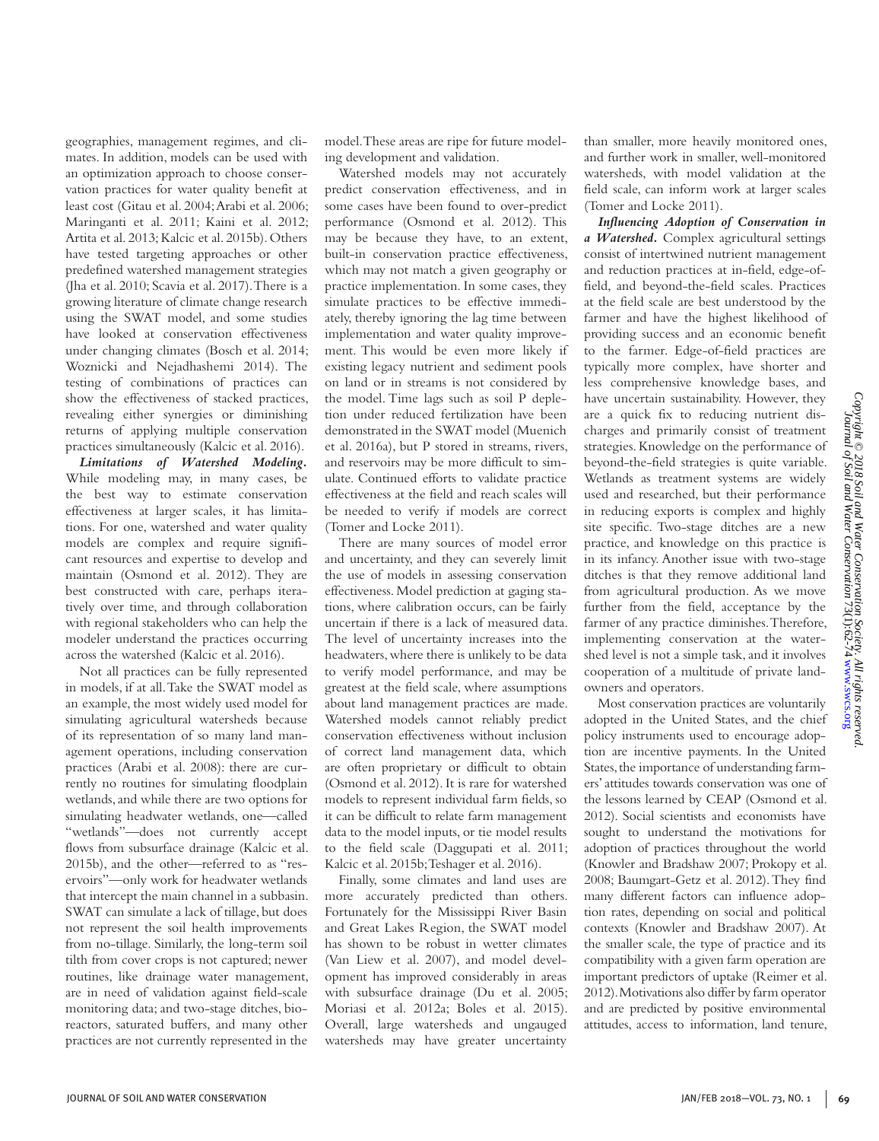Copyright © 2018 Soil and Water Conservation Society. All rights reserved<br>Journal of Soil and Water Conservation 73(1):62-74 www.swcs.org *Copyright © 2018 Soil and Water Conservation Society. All rights reserved.* Journal of Soil and Water Conservation 73(1):62-74 [www.swcs.org](http://www.swcs.org)

geographies, management regimes, and climates. In addition, models can be used with an optimization approach to choose conservation practices for water quality benefit at least cost (Gitau et al. 2004; Arabi et al. 2006; Maringanti et al. 2011; Kaini et al. 2012; Artita et al. 2013; Kalcic et al. 2015b). Others have tested targeting approaches or other predefined watershed management strategies (Jha et al. 2010; Scavia et al. 2017). There is a growing literature of climate change research using the SWAT model, and some studies have looked at conservation effectiveness under changing climates (Bosch et al. 2014; Woznicki and Nejadhashemi 2014). The testing of combinations of practices can show the effectiveness of stacked practices, revealing either synergies or diminishing returns of applying multiple conservation practices simultaneously (Kalcic et al. 2016).

*Limitations of Watershed Modeling.*  While modeling may, in many cases, be the best way to estimate conservation effectiveness at larger scales, it has limitations. For one, watershed and water quality models are complex and require significant resources and expertise to develop and maintain (Osmond et al. 2012). They are best constructed with care, perhaps iteratively over time, and through collaboration with regional stakeholders who can help the modeler understand the practices occurring across the watershed (Kalcic et al. 2016).

Not all practices can be fully represented in models, if at all. Take the SWAT model as an example, the most widely used model for simulating agricultural watersheds because of its representation of so many land management operations, including conservation practices (Arabi et al. 2008): there are currently no routines for simulating floodplain wetlands, and while there are two options for simulating headwater wetlands, one—called "wetlands"—does not currently accept flows from subsurface drainage (Kalcic et al. 2015b), and the other—referred to as "reservoirs"—only work for headwater wetlands that intercept the main channel in a subbasin. SWAT can simulate a lack of tillage, but does not represent the soil health improvements from no-tillage. Similarly, the long-term soil tilth from cover crops is not captured; newer routines, like drainage water management, are in need of validation against field-scale monitoring data; and two-stage ditches, bioreactors, saturated buffers, and many other practices are not currently represented in the

model. These areas are ripe for future modeling development and validation.

Watershed models may not accurately predict conservation effectiveness, and in some cases have been found to over-predict performance (Osmond et al. 2012). This may be because they have, to an extent, built-in conservation practice effectiveness, which may not match a given geography or practice implementation. In some cases, they simulate practices to be effective immediately, thereby ignoring the lag time between implementation and water quality improvement. This would be even more likely if existing legacy nutrient and sediment pools on land or in streams is not considered by the model. Time lags such as soil P depletion under reduced fertilization have been demonstrated in the SWAT model (Muenich et al. 2016a), but P stored in streams, rivers, and reservoirs may be more difficult to simulate. Continued efforts to validate practice effectiveness at the field and reach scales will be needed to verify if models are correct (Tomer and Locke 2011).

There are many sources of model error and uncertainty, and they can severely limit the use of models in assessing conservation effectiveness. Model prediction at gaging stations, where calibration occurs, can be fairly uncertain if there is a lack of measured data. The level of uncertainty increases into the headwaters, where there is unlikely to be data to verify model performance, and may be greatest at the field scale, where assumptions about land management practices are made. Watershed models cannot reliably predict conservation effectiveness without inclusion of correct land management data, which are often proprietary or difficult to obtain (Osmond et al. 2012). It is rare for watershed models to represent individual farm fields, so it can be difficult to relate farm management data to the model inputs, or tie model results to the field scale (Daggupati et al. 2011; Kalcic et al. 2015b; Teshager et al. 2016).

Finally, some climates and land uses are more accurately predicted than others. Fortunately for the Mississippi River Basin and Great Lakes Region, the SWAT model has shown to be robust in wetter climates (Van Liew et al. 2007), and model development has improved considerably in areas with subsurface drainage (Du et al. 2005; Moriasi et al. 2012a; Boles et al. 2015). Overall, large watersheds and ungauged watersheds may have greater uncertainty than smaller, more heavily monitored ones, and further work in smaller, well-monitored watersheds, with model validation at the field scale, can inform work at larger scales (Tomer and Locke 2011).

*Influencing Adoption of Conservation in a Watershed.* Complex agricultural settings consist of intertwined nutrient management and reduction practices at in-field, edge-offield, and beyond-the-field scales. Practices at the field scale are best understood by the farmer and have the highest likelihood of providing success and an economic benefit to the farmer. Edge-of-field practices are typically more complex, have shorter and less comprehensive knowledge bases, and have uncertain sustainability. However, they are a quick fix to reducing nutrient discharges and primarily consist of treatment strategies. Knowledge on the performance of beyond-the-field strategies is quite variable. Wetlands as treatment systems are widely used and researched, but their performance in reducing exports is complex and highly site specific. Two-stage ditches are a new practice, and knowledge on this practice is in its infancy. Another issue with two-stage ditches is that they remove additional land from agricultural production. As we move further from the field, acceptance by the farmer of any practice diminishes. Therefore, implementing conservation at the watershed level is not a simple task, and it involves cooperation of a multitude of private landowners and operators.

Most conservation practices are voluntarily adopted in the United States, and the chief policy instruments used to encourage adoption are incentive payments. In the United States, the importance of understanding farmers' attitudes towards conservation was one of the lessons learned by CEAP (Osmond et al. 2012). Social scientists and economists have sought to understand the motivations for adoption of practices throughout the world (Knowler and Bradshaw 2007; Prokopy et al. 2008; Baumgart-Getz et al. 2012). They find many different factors can influence adoption rates, depending on social and political contexts (Knowler and Bradshaw 2007). At the smaller scale, the type of practice and its compatibility with a given farm operation are important predictors of uptake (Reimer et al. 2012). Motivations also differ by farm operator and are predicted by positive environmental attitudes, access to information, land tenure,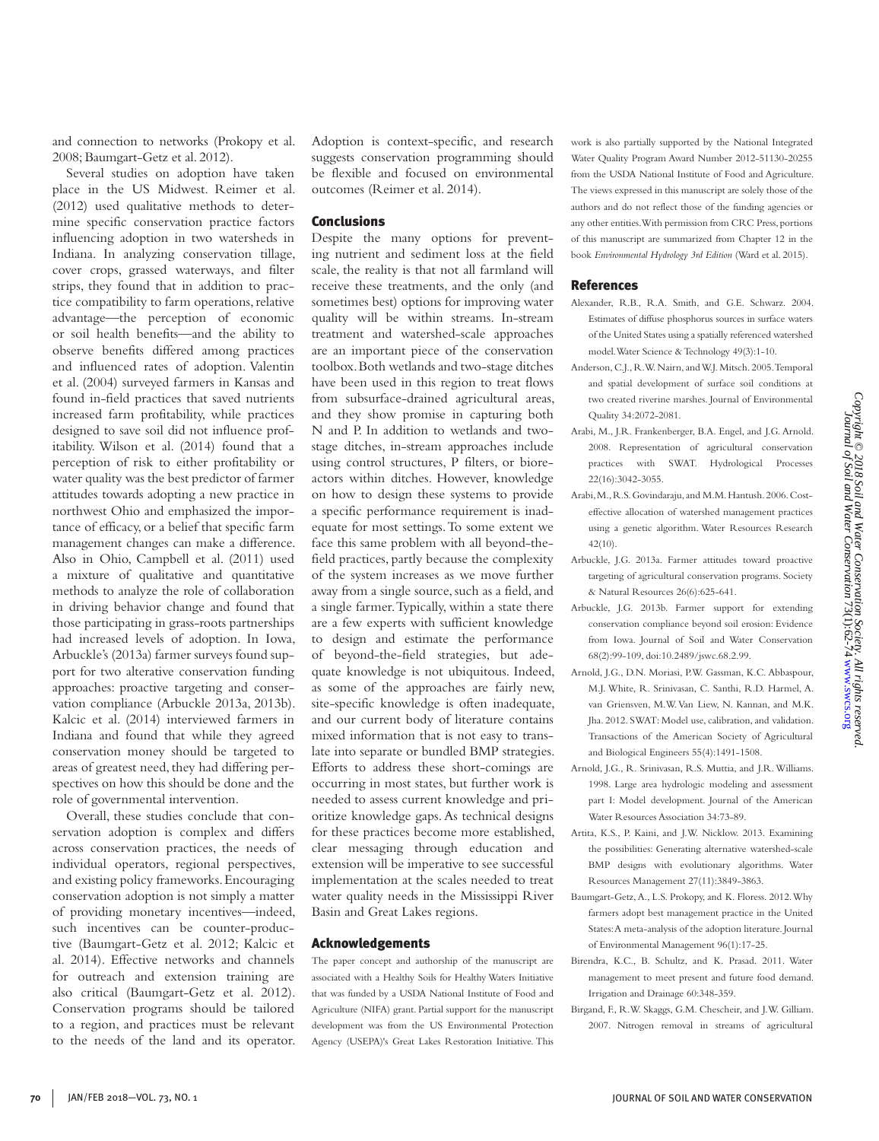and connection to networks (Prokopy et al. 2008; Baumgart-Getz et al. 2012).

Several studies on adoption have taken place in the US Midwest. Reimer et al. (2012) used qualitative methods to determine specific conservation practice factors influencing adoption in two watersheds in Indiana. In analyzing conservation tillage, cover crops, grassed waterways, and filter strips, they found that in addition to practice compatibility to farm operations, relative advantage—the perception of economic or soil health benefits—and the ability to observe benefits differed among practices and influenced rates of adoption. Valentin et al. (2004) surveyed farmers in Kansas and found in-field practices that saved nutrients increased farm profitability, while practices designed to save soil did not influence profitability. Wilson et al. (2014) found that a perception of risk to either profitability or water quality was the best predictor of farmer attitudes towards adopting a new practice in northwest Ohio and emphasized the importance of efficacy, or a belief that specific farm management changes can make a difference. Also in Ohio, Campbell et al. (2011) used a mixture of qualitative and quantitative methods to analyze the role of collaboration in driving behavior change and found that those participating in grass-roots partnerships had increased levels of adoption. In Iowa, Arbuckle's (2013a) farmer surveys found support for two alterative conservation funding approaches: proactive targeting and conservation compliance (Arbuckle 2013a, 2013b). Kalcic et al. (2014) interviewed farmers in Indiana and found that while they agreed conservation money should be targeted to areas of greatest need, they had differing perspectives on how this should be done and the role of governmental intervention.

Overall, these studies conclude that conservation adoption is complex and differs across conservation practices, the needs of individual operators, regional perspectives, and existing policy frameworks. Encouraging conservation adoption is not simply a matter of providing monetary incentives—indeed, such incentives can be counter-productive (Baumgart-Getz et al. 2012; Kalcic et al. 2014). Effective networks and channels for outreach and extension training are also critical (Baumgart-Getz et al. 2012). Conservation programs should be tailored to a region, and practices must be relevant to the needs of the land and its operator. Adoption is context-specific, and research suggests conservation programming should be flexible and focused on environmental outcomes (Reimer et al. 2014).

## Conclusions

Despite the many options for preventing nutrient and sediment loss at the field scale, the reality is that not all farmland will receive these treatments, and the only (and sometimes best) options for improving water quality will be within streams. In-stream treatment and watershed-scale approaches are an important piece of the conservation toolbox. Both wetlands and two-stage ditches have been used in this region to treat flows from subsurface-drained agricultural areas, and they show promise in capturing both N and P. In addition to wetlands and twostage ditches, in-stream approaches include using control structures, P filters, or bioreactors within ditches. However, knowledge on how to design these systems to provide a specific performance requirement is inadequate for most settings. To some extent we face this same problem with all beyond-thefield practices, partly because the complexity of the system increases as we move further away from a single source, such as a field, and a single farmer. Typically, within a state there are a few experts with sufficient knowledge to design and estimate the performance of beyond-the-field strategies, but adequate knowledge is not ubiquitous. Indeed, as some of the approaches are fairly new, site-specific knowledge is often inadequate, and our current body of literature contains mixed information that is not easy to translate into separate or bundled BMP strategies. Efforts to address these short-comings are occurring in most states, but further work is needed to assess current knowledge and prioritize knowledge gaps. As technical designs for these practices become more established, clear messaging through education and extension will be imperative to see successful implementation at the scales needed to treat water quality needs in the Mississippi River Basin and Great Lakes regions.

### Acknowledgements

The paper concept and authorship of the manuscript are associated with a Healthy Soils for Healthy Waters Initiative that was funded by a USDA National Institute of Food and Agriculture (NIFA) grant. Partial support for the manuscript development was from the US Environmental Protection Agency (USEPA)'s Great Lakes Restoration Initiative. This

work is also partially supported by the National Integrated Water Quality Program Award Number 2012-51130-20255 from the USDA National Institute of Food and Agriculture. The views expressed in this manuscript are solely those of the authors and do not reflect those of the funding agencies or any other entities. With permission from CRC Press, portions of this manuscript are summarized from Chapter 12 in the book *Environmental Hydrology 3rd Edition* (Ward et al. 2015).

## References

- Alexander, R.B., R.A. Smith, and G.E. Schwarz. 2004. Estimates of diffuse phosphorus sources in surface waters of the United States using a spatially referenced watershed model. Water Science & Technology 49(3):1-10.
- Anderson, C.J., R.W. Nairn, and W.J. Mitsch. 2005. Temporal and spatial development of surface soil conditions at two created riverine marshes. Journal of Environmental Quality 34:2072-2081.
- Arabi, M., J.R. Frankenberger, B.A. Engel, and J.G. Arnold. 2008. Representation of agricultural conservation practices with SWAT. Hydrological Processes 22(16):3042-3055.
- Arabi, M., R.S. Govindaraju, and M.M. Hantush. 2006. Costeffective allocation of watershed management practices using a genetic algorithm. Water Resources Research 42(10).
- Arbuckle, J.G. 2013a. Farmer attitudes toward proactive targeting of agricultural conservation programs. Society & Natural Resources 26(6):625-641.
- Arbuckle, J.G. 2013b. Farmer support for extending conservation compliance beyond soil erosion: Evidence from Iowa. Journal of Soil and Water Conservation 68(2):99-109, doi:10.2489/jswc.68.2.99.
- Arnold, J.G., D.N. Moriasi, P.W. Gassman, K.C. Abbaspour, M.J. White, R. Srinivasan, C. Santhi, R.D. Harmel, A. van Griensven, M.W. Van Liew, N. Kannan, and M.K. Jha. 2012. SWAT: Model use, calibration, and validation. Transactions of the American Society of Agricultural and Biological Engineers 55(4):1491-1508.
- Arnold, J.G., R. Srinivasan, R.S. Muttia, and J.R. Williams. 1998. Large area hydrologic modeling and assessment part I: Model development. Journal of the American Water Resources Association 34:73-89.
- Artita, K.S., P. Kaini, and J.W. Nicklow. 2013. Examining the possibilities: Generating alternative watershed-scale BMP designs with evolutionary algorithms. Water Resources Management 27(11):3849-3863.
- Baumgart-Getz, A., L.S. Prokopy, and K. Floress. 2012. Why farmers adopt best management practice in the United States: A meta-analysis of the adoption literature. Journal of Environmental Management 96(1):17-25.
- Birendra, K.C., B. Schultz, and K. Prasad. 2011. Water management to meet present and future food demand. Irrigation and Drainage 60:348-359.
- Birgand, F., R.W. Skaggs, G.M. Chescheir, and J.W. Gilliam. 2007. Nitrogen removal in streams of agricultural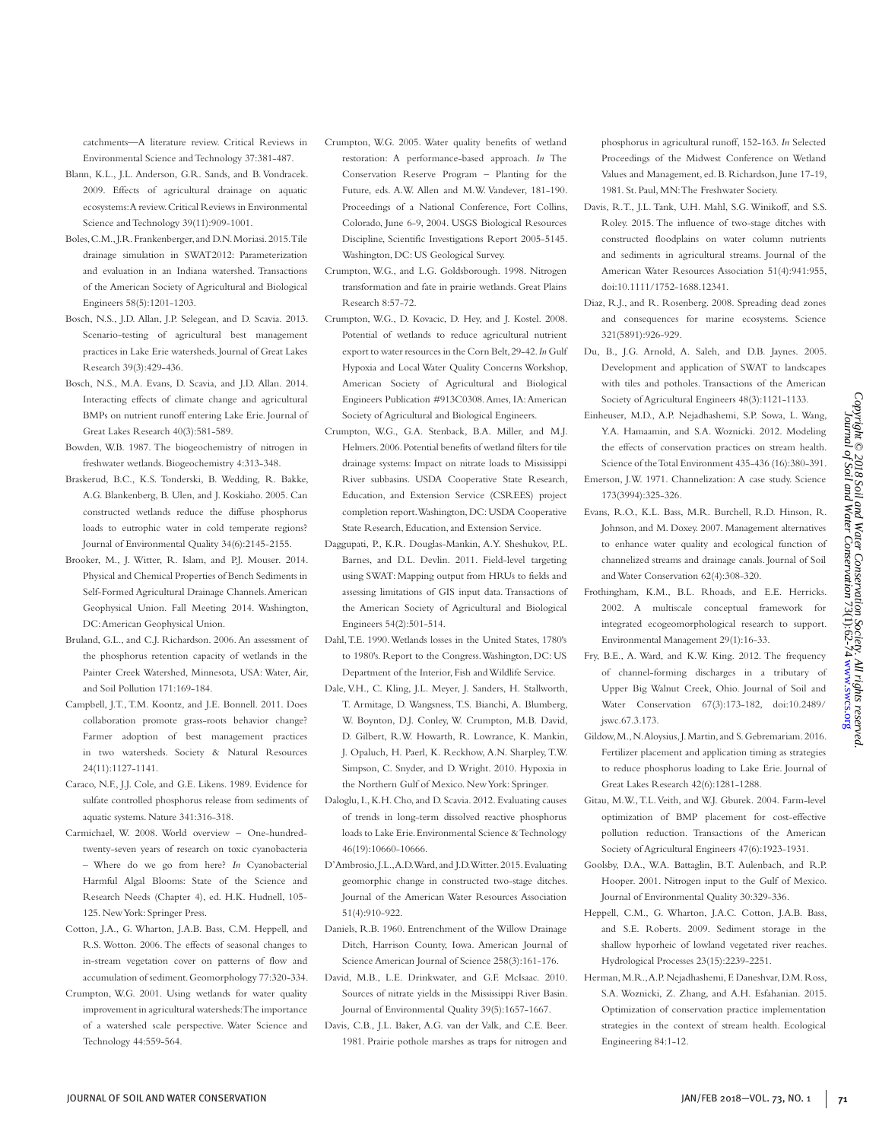catchments—A literature review. Critical Reviews in Environmental Science and Technology 37:381-487. Blann, K.L., J.L. Anderson, G.R. Sands, and B. Vondracek.

- 2009. Effects of agricultural drainage on aquatic ecosystems: A review. Critical Reviews in Environmental Science and Technology 39(11):909-1001.
- Boles, C.M., J.R. Frankenberger, and D.N. Moriasi. 2015. Tile drainage simulation in SWAT2012: Parameterization and evaluation in an Indiana watershed. Transactions of the American Society of Agricultural and Biological Engineers 58(5):1201-1203.
- Bosch, N.S., J.D. Allan, J.P. Selegean, and D. Scavia. 2013. Scenario-testing of agricultural best management practices in Lake Erie watersheds. Journal of Great Lakes Research 39(3):429-436.
- Bosch, N.S., M.A. Evans, D. Scavia, and J.D. Allan. 2014. Interacting effects of climate change and agricultural BMPs on nutrient runoff entering Lake Erie. Journal of Great Lakes Research 40(3):581-589.
- Bowden, W.B. 1987. The biogeochemistry of nitrogen in freshwater wetlands. Biogeochemistry 4:313-348.
- Braskerud, B.C., K.S. Tonderski, B. Wedding, R. Bakke, A.G. Blankenberg, B. Ulen, and J. Koskiaho. 2005. Can constructed wetlands reduce the diffuse phosphorus loads to eutrophic water in cold temperate regions? Journal of Environmental Quality 34(6):2145-2155.
- Brooker, M., J. Witter, R. Islam, and P.J. Mouser. 2014. Physical and Chemical Properties of Bench Sediments in Self-Formed Agricultural Drainage Channels. American Geophysical Union. Fall Meeting 2014. Washington, DC: American Geophysical Union.
- Bruland, G.L., and C.J. Richardson. 2006. An assessment of the phosphorus retention capacity of wetlands in the Painter Creek Watershed, Minnesota, USA: Water, Air, and Soil Pollution 171:169-184.
- Campbell, J.T., T.M. Koontz, and J.E. Bonnell. 2011. Does collaboration promote grass-roots behavior change? Farmer adoption of best management practices in two watersheds. Society & Natural Resources 24(11):1127-1141.
- Caraco, N.F., J.J. Cole, and G.E. Likens. 1989. Evidence for sulfate controlled phosphorus release from sediments of aquatic systems. Nature 341:316-318.
- Carmichael, W. 2008. World overview One-hundredtwenty-seven years of research on toxic cyanobacteria – Where do we go from here? *In* Cyanobacterial Harmful Algal Blooms: State of the Science and Research Needs (Chapter 4), ed. H.K. Hudnell, 105- 125. New York: Springer Press.
- Cotton, J.A., G. Wharton, J.A.B. Bass, C.M. Heppell, and R.S. Wotton. 2006. The effects of seasonal changes to in-stream vegetation cover on patterns of flow and accumulation of sediment. Geomorphology 77:320-334.
- Crumpton, W.G. 2001. Using wetlands for water quality improvement in agricultural watersheds: The importance of a watershed scale perspective. Water Science and Technology 44:559-564.
- Crumpton, W.G. 2005. Water quality benefits of wetland restoration: A performance-based approach. *In* The Conservation Reserve Program – Planting for the Future, eds. A.W. Allen and M.W. Vandever, 181-190. Proceedings of a National Conference, Fort Collins, Colorado, June 6-9, 2004. USGS Biological Resources Discipline, Scientific Investigations Report 2005-5145. Washington, DC: US Geological Survey.
- Crumpton, W.G., and L.G. Goldsborough. 1998. Nitrogen transformation and fate in prairie wetlands. Great Plains Research 8:57-72.
- Crumpton, W.G., D. Kovacic, D. Hey, and J. Kostel. 2008. Potential of wetlands to reduce agricultural nutrient export to water resources in the Corn Belt, 29-42. *In* Gulf Hypoxia and Local Water Quality Concerns Workshop, American Society of Agricultural and Biological Engineers Publication #913C0308. Ames, IA: American Society of Agricultural and Biological Engineers.
- Crumpton, W.G., G.A. Stenback, B.A. Miller, and M.J. Helmers. 2006. Potential benefits of wetland filters for tile drainage systems: Impact on nitrate loads to Mississippi River subbasins. USDA Cooperative State Research, Education, and Extension Service (CSREES) project completion report. Washington, DC: USDA Cooperative State Research, Education, and Extension Service.
- Daggupati, P., K.R. Douglas-Mankin, A.Y. Sheshukov, P.L. Barnes, and D.L. Devlin. 2011. Field-level targeting using SWAT: Mapping output from HRUs to fields and assessing limitations of GIS input data. Transactions of the American Society of Agricultural and Biological Engineers 54(2):501-514.
- Dahl, T.E. 1990. Wetlands losses in the United States, 1780's to 1980's. Report to the Congress. Washington, DC: US Department of the Interior, Fish and Wildlife Service.
- Dale, V.H., C. Kling, J.L. Meyer, J. Sanders, H. Stallworth, T. Armitage, D. Wangsness, T.S. Bianchi, A. Blumberg, W. Boynton, D.J. Conley, W. Crumpton, M.B. David, D. Gilbert, R.W. Howarth, R. Lowrance, K. Mankin, J. Opaluch, H. Paerl, K. Reckhow, A.N. Sharpley, T.W. Simpson, C. Snyder, and D. Wright. 2010. Hypoxia in the Northern Gulf of Mexico. New York: Springer.
- Daloglu, I., K.H. Cho, and D. Scavia. 2012. Evaluating causes of trends in long-term dissolved reactive phosphorus loads to Lake Erie. Environmental Science & Technology 46(19):10660-10666.
- D'Ambrosio, J.L., A.D. Ward, and J.D. Witter. 2015. Evaluating geomorphic change in constructed two-stage ditches. Journal of the American Water Resources Association 51(4):910-922.
- Daniels, R.B. 1960. Entrenchment of the Willow Drainage Ditch, Harrison County, Iowa. American Journal of Science American Journal of Science 258(3):161-176.
- David, M.B., L.E. Drinkwater, and G.F. McIsaac. 2010. Sources of nitrate yields in the Mississippi River Basin. Journal of Environmental Quality 39(5):1657-1667.
- Davis, C.B., J.L. Baker, A.G. van der Valk, and C.E. Beer. 1981. Prairie pothole marshes as traps for nitrogen and

phosphorus in agricultural runoff, 152-163. *In* Selected Proceedings of the Midwest Conference on Wetland Values and Management, ed. B. Richardson, June 17-19, 1981. St. Paul, MN: The Freshwater Society.

- Davis, R.T., J.L. Tank, U.H. Mahl, S.G. Winikoff, and S.S. Roley. 2015. The influence of two-stage ditches with constructed floodplains on water column nutrients and sediments in agricultural streams. Journal of the American Water Resources Association 51(4):941:955, doi:10.1111/1752-1688.12341.
- Diaz, R.J., and R. Rosenberg. 2008. Spreading dead zones and consequences for marine ecosystems. Science 321(5891):926-929.
- Du, B., J.G. Arnold, A. Saleh, and D.B. Jaynes. 2005. Development and application of SWAT to landscapes with tiles and potholes. Transactions of the American Society of Agricultural Engineers 48(3):1121-1133.
- Einheuser, M.D., A.P. Nejadhashemi, S.P. Sowa, L. Wang, Y.A. Hamaamin, and S.A. Woznicki. 2012. Modeling the effects of conservation practices on stream health. Science of the Total Environment 435-436 (16):380-391.
- Emerson, J.W. 1971. Channelization: A case study. Science 173(3994):325-326.
- Evans, R.O., K.L. Bass, M.R. Burchell, R.D. Hinson, R. Johnson, and M. Doxey. 2007. Management alternatives to enhance water quality and ecological function of channelized streams and drainage canals. Journal of Soil and Water Conservation 62(4):308-320.
- Frothingham, K.M., B.L. Rhoads, and E.E. Herricks. 2002. A multiscale conceptual framework for integrated ecogeomorphological research to support. Environmental Management 29(1):16-33.
- Fry, B.E., A. Ward, and K.W. King. 2012. The frequency of channel-forming discharges in a tributary of Upper Big Walnut Creek, Ohio. Journal of Soil and Water Conservation 67(3):173-182, doi:10.2489/ jswc.67.3.173.
- Gildow, M., N. Aloysius, J. Martin, and S. Gebremariam. 2016. Fertilizer placement and application timing as strategies to reduce phosphorus loading to Lake Erie. Journal of Great Lakes Research 42(6):1281-1288.
- Gitau, M.W., T.L. Veith, and W.J. Gburek. 2004. Farm-level optimization of BMP placement for cost-effective pollution reduction. Transactions of the American Society of Agricultural Engineers 47(6):1923-1931.
- Goolsby, D.A., W.A. Battaglin, B.T. Aulenbach, and R.P. Hooper. 2001. Nitrogen input to the Gulf of Mexico. Journal of Environmental Quality 30:329-336.
- Heppell, C.M., G. Wharton, J.A.C. Cotton, J.A.B. Bass, and S.E. Roberts. 2009. Sediment storage in the shallow hyporheic of lowland vegetated river reaches. Hydrological Processes 23(15):2239-2251.
- Herman, M.R., A.P. Nejadhashemi, F. Daneshvar, D.M. Ross, S.A. Woznicki, Z. Zhang, and A.H. Esfahanian. 2015. Optimization of conservation practice implementation strategies in the context of stream health. Ecological Engineering 84:1-12.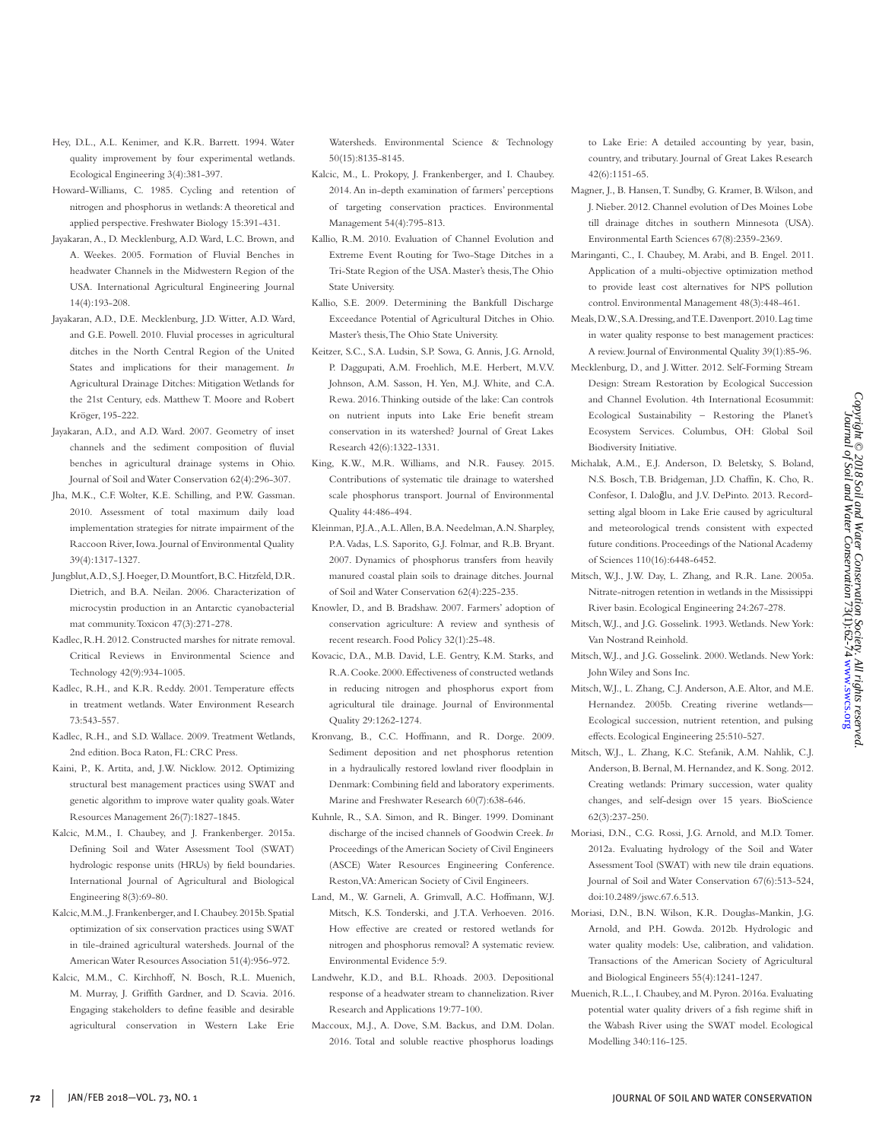- Hey, D.L., A.L. Kenimer, and K.R. Barrett. 1994. Water quality improvement by four experimental wetlands. Ecological Engineering 3(4):381-397.
- Howard-Williams, C. 1985. Cycling and retention of nitrogen and phosphorus in wetlands: A theoretical and applied perspective. Freshwater Biology 15:391-431.
- Jayakaran, A., D. Mecklenburg, A.D. Ward, L.C. Brown, and A. Weekes. 2005. Formation of Fluvial Benches in headwater Channels in the Midwestern Region of the USA. International Agricultural Engineering Journal 14(4):193-208.
- Jayakaran, A.D., D.E. Mecklenburg, J.D. Witter, A.D. Ward, and G.E. Powell. 2010. Fluvial processes in agricultural ditches in the North Central Region of the United States and implications for their management. *In*  Agricultural Drainage Ditches: Mitigation Wetlands for the 21st Century, eds. Matthew T. Moore and Robert Kröger, 195-222.
- Jayakaran, A.D., and A.D. Ward. 2007. Geometry of inset channels and the sediment composition of fluvial benches in agricultural drainage systems in Ohio. Journal of Soil and Water Conservation 62(4):296-307.
- Jha, M.K., C.F. Wolter, K.E. Schilling, and P.W. Gassman. 2010. Assessment of total maximum daily load implementation strategies for nitrate impairment of the Raccoon River, Iowa. Journal of Environmental Quality 39(4):1317-1327.
- Jungblut, A.D., S.J. Hoeger, D. Mountfort, B.C. Hitzfeld, D.R. Dietrich, and B.A. Neilan. 2006. Characterization of microcystin production in an Antarctic cyanobacterial mat community. Toxicon 47(3):271-278.
- Kadlec, R.H. 2012. Constructed marshes for nitrate removal. Critical Reviews in Environmental Science and Technology 42(9):934-1005.
- Kadlec, R.H., and K.R. Reddy. 2001. Temperature effects in treatment wetlands. Water Environment Research 73:543-557.
- Kadlec, R.H., and S.D. Wallace. 2009. Treatment Wetlands, 2nd edition. Boca Raton, FL: CRC Press.
- Kaini, P., K. Artita, and, J.W. Nicklow. 2012. Optimizing structural best management practices using SWAT and genetic algorithm to improve water quality goals. Water Resources Management 26(7):1827-1845.
- Kalcic, M.M., I. Chaubey, and J. Frankenberger. 2015a. Defining Soil and Water Assessment Tool (SWAT) hydrologic response units (HRUs) by field boundaries. International Journal of Agricultural and Biological Engineering 8(3):69-80.
- Kalcic, M.M., J. Frankenberger, and I. Chaubey. 2015b. Spatial optimization of six conservation practices using SWAT in tile-drained agricultural watersheds. Journal of the American Water Resources Association 51(4):956-972.
- Kalcic, M.M., C. Kirchhoff, N. Bosch, R.L. Muenich, M. Murray, J. Griffith Gardner, and D. Scavia. 2016. Engaging stakeholders to define feasible and desirable agricultural conservation in Western Lake Erie

Watersheds. Environmental Science & Technology 50(15):8135-8145.

- Kalcic, M., L. Prokopy, J. Frankenberger, and I. Chaubey. 2014. An in-depth examination of farmers' perceptions of targeting conservation practices. Environmental Management 54(4):795-813.
- Kallio, R.M. 2010. Evaluation of Channel Evolution and Extreme Event Routing for Two-Stage Ditches in a Tri-State Region of the USA. Master's thesis, The Ohio State University.
- Kallio, S.E. 2009. Determining the Bankfull Discharge Exceedance Potential of Agricultural Ditches in Ohio. Master's thesis, The Ohio State University.
- Keitzer, S.C., S.A. Ludsin, S.P. Sowa, G. Annis, J.G. Arnold, P. Daggupati, A.M. Froehlich, M.E. Herbert, M.V.V. Johnson, A.M. Sasson, H. Yen, M.J. White, and C.A. Rewa. 2016. Thinking outside of the lake: Can controls on nutrient inputs into Lake Erie benefit stream conservation in its watershed? Journal of Great Lakes Research 42(6):1322-1331.
- King, K.W., M.R. Williams, and N.R. Fausey. 2015. Contributions of systematic tile drainage to watershed scale phosphorus transport. Journal of Environmental Quality 44:486-494.
- Kleinman, P.J.A., A.L. Allen, B.A. Needelman, A.N. Sharpley, P.A. Vadas, L.S. Saporito, G.J. Folmar, and R.B. Bryant. 2007. Dynamics of phosphorus transfers from heavily manured coastal plain soils to drainage ditches. Journal of Soil and Water Conservation 62(4):225-235.
- Knowler, D., and B. Bradshaw. 2007. Farmers' adoption of conservation agriculture: A review and synthesis of recent research. Food Policy 32(1):25-48.
- Kovacic, D.A., M.B. David, L.E. Gentry, K.M. Starks, and R.A. Cooke. 2000. Effectiveness of constructed wetlands in reducing nitrogen and phosphorus export from agricultural tile drainage. Journal of Environmental Quality 29:1262-1274.
- Kronvang, B., C.C. Hoffmann, and R. Dorge. 2009. Sediment deposition and net phosphorus retention in a hydraulically restored lowland river floodplain in Denmark: Combining field and laboratory experiments. Marine and Freshwater Research 60(7):638-646.
- Kuhnle, R., S.A. Simon, and R. Binger. 1999. Dominant discharge of the incised channels of Goodwin Creek. *In*  Proceedings of the American Society of Civil Engineers (ASCE) Water Resources Engineering Conference. Reston, VA: American Society of Civil Engineers.
- Land, M., W. Garneli, A. Grimvall, A.C. Hoffmann, W.J. Mitsch, K.S. Tonderski, and J.T.A. Verhoeven. 2016. How effective are created or restored wetlands for nitrogen and phosphorus removal? A systematic review. Environmental Evidence 5:9.
- Landwehr, K.D., and B.L. Rhoads. 2003. Depositional response of a headwater stream to channelization. River Research and Applications 19:77-100.
- Maccoux, M.J., A. Dove, S.M. Backus, and D.M. Dolan. 2016. Total and soluble reactive phosphorus loadings

to Lake Erie: A detailed accounting by year, basin, country, and tributary. Journal of Great Lakes Research 42(6):1151-65.

- Magner, J., B. Hansen, T. Sundby, G. Kramer, B. Wilson, and J. Nieber. 2012. Channel evolution of Des Moines Lobe till drainage ditches in southern Minnesota (USA). Environmental Earth Sciences 67(8):2359-2369.
- Maringanti, C., I. Chaubey, M. Arabi, and B. Engel. 2011. Application of a multi-objective optimization method to provide least cost alternatives for NPS pollution control. Environmental Management 48(3):448-461.
- Meals, D.W., S.A. Dressing, and T.E. Davenport. 2010. Lag time in water quality response to best management practices: A review. Journal of Environmental Quality 39(1):85-96.
- Mecklenburg, D., and J. Witter. 2012. Self-Forming Stream Design: Stream Restoration by Ecological Succession and Channel Evolution. 4th International Ecosummit: Ecological Sustainability – Restoring the Planet's Ecosystem Services. Columbus, OH: Global Soil Biodiversity Initiative.
- Michalak, A.M., E.J. Anderson, D. Beletsky, S. Boland, N.S. Bosch, T.B. Bridgeman, J.D. Chaffin, K. Cho, R. Confesor, I. Daloğlu, and J.V. DePinto. 2013. Recordsetting algal bloom in Lake Erie caused by agricultural and meteorological trends consistent with expected future conditions. Proceedings of the National Academy of Sciences 110(16):6448-6452.
- Mitsch, W.J., J.W. Day, L. Zhang, and R.R. Lane. 2005a. Nitrate-nitrogen retention in wetlands in the Mississippi River basin. Ecological Engineering 24:267-278.
- Mitsch, W.J., and J.G. Gosselink. 1993. Wetlands. New York: Van Nostrand Reinhold.
- Mitsch, W.J., and J.G. Gosselink. 2000. Wetlands. New York: John Wiley and Sons Inc.
- Mitsch, W.J., L. Zhang, C.J. Anderson, A.E. Altor, and M.E. Hernandez. 2005b. Creating riverine wetlands— Ecological succession, nutrient retention, and pulsing effects. Ecological Engineering 25:510-527.
- Mitsch, W.J., L. Zhang, K.C. Stefanik, A.M. Nahlik, C.J. Anderson, B. Bernal, M. Hernandez, and K. Song. 2012. Creating wetlands: Primary succession, water quality changes, and self-design over 15 years. BioScience 62(3):237-250.
- Moriasi, D.N., C.G. Rossi, J.G. Arnold, and M.D. Tomer. 2012a. Evaluating hydrology of the Soil and Water Assessment Tool (SWAT) with new tile drain equations. Journal of Soil and Water Conservation 67(6):513-524, doi:10.2489/jswc.67.6.513.
- Moriasi, D.N., B.N. Wilson, K.R. Douglas-Mankin, J.G. Arnold, and P.H. Gowda. 2012b. Hydrologic and water quality models: Use, calibration, and validation. Transactions of the American Society of Agricultural and Biological Engineers 55(4):1241-1247.
- Muenich, R.L., I. Chaubey, and M. Pyron. 2016a. Evaluating potential water quality drivers of a fish regime shift in the Wabash River using the SWAT model. Ecological Modelling 340:116-125.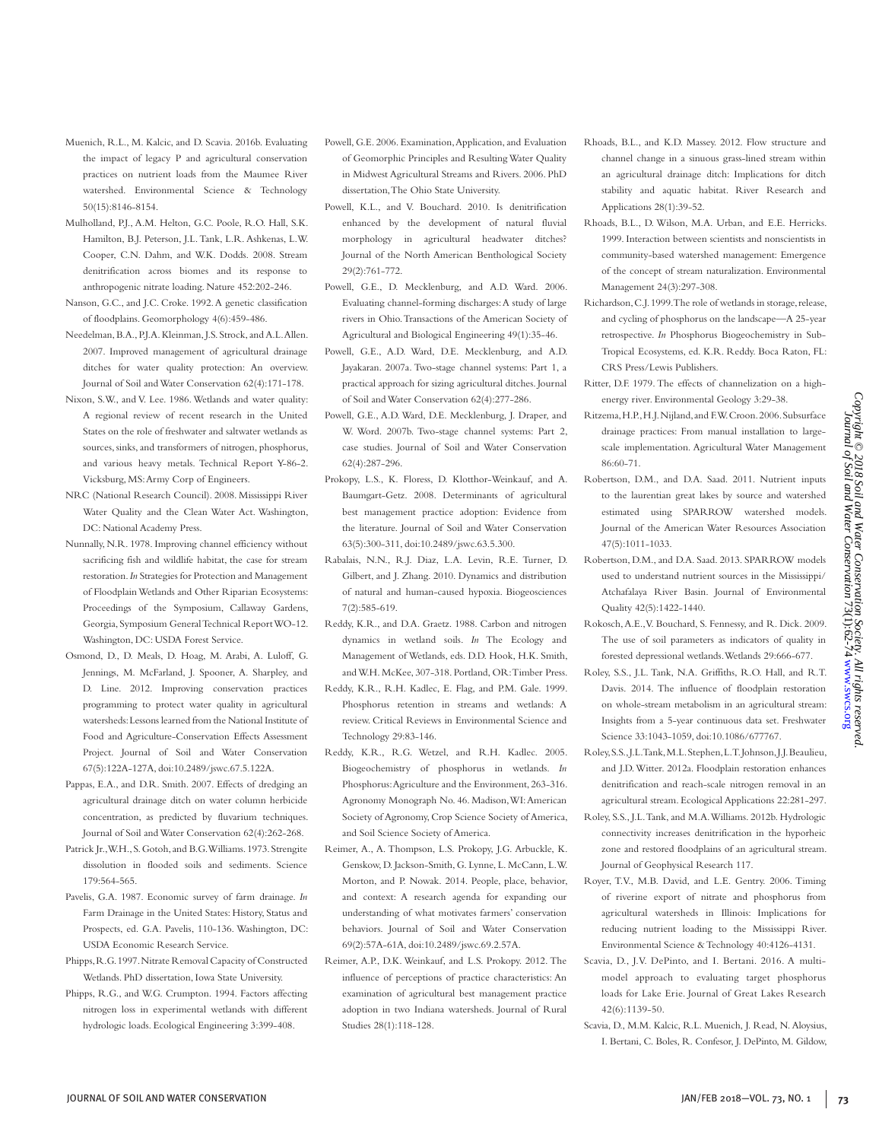*Copyright © 2018 Soil and Water Conservation Society. All rights reserved.*

1 Society.<br>(1):62-74

. All rights reserved.<br>4 www.swcs.org

- Muenich, R.L., M. Kalcic, and D. Scavia. 2016b. Evaluating the impact of legacy P and agricultural conservation practices on nutrient loads from the Maumee River watershed. Environmental Science & Technology 50(15):8146-8154.
- Mulholland, P.J., A.M. Helton, G.C. Poole, R.O. Hall, S.K. Hamilton, B.J. Peterson, J.L. Tank, L.R. Ashkenas, L.W. Cooper, C.N. Dahm, and W.K. Dodds. 2008. Stream denitrification across biomes and its response to anthropogenic nitrate loading. Nature 452:202-246.
- Nanson, G.C., and J.C. Croke. 1992. A genetic classification of floodplains. Geomorphology 4(6):459-486.
- Needelman, B.A., P.J.A. Kleinman, J.S. Strock, and A.L. Allen. 2007. Improved management of agricultural drainage ditches for water quality protection: An overview. Journal of Soil and Water Conservation 62(4):171-178.
- Nixon, S.W., and V. Lee. 1986. Wetlands and water quality: A regional review of recent research in the United States on the role of freshwater and saltwater wetlands as sources, sinks, and transformers of nitrogen, phosphorus, and various heavy metals. Technical Report Y-86-2. Vicksburg, MS: Army Corp of Engineers.
- NRC (National Research Council). 2008. Mississippi River Water Quality and the Clean Water Act. Washington, DC: National Academy Press.
- Nunnally, N.R. 1978. Improving channel efficiency without sacrificing fish and wildlife habitat, the case for stream restoration. *In* Strategies for Protection and Management of Floodplain Wetlands and Other Riparian Ecosystems: Proceedings of the Symposium, Callaway Gardens, Georgia, Symposium General Technical Report WO-12. Washington, DC: USDA Forest Service.
- Osmond, D., D. Meals, D. Hoag, M. Arabi, A. Luloff, G. Jennings, M. McFarland, J. Spooner, A. Sharpley, and D. Line. 2012. Improving conservation practices programming to protect water quality in agricultural watersheds: Lessons learned from the National Institute of Food and Agriculture-Conservation Effects Assessment Project. Journal of Soil and Water Conservation 67(5):122A-127A, doi:10.2489/jswc.67.5.122A.
- Pappas, E.A., and D.R. Smith. 2007. Effects of dredging an agricultural drainage ditch on water column herbicide concentration, as predicted by fluvarium techniques. Journal of Soil and Water Conservation 62(4):262-268.
- Patrick Jr., W.H., S. Gotoh, and B.G. Williams. 1973. Strengite dissolution in flooded soils and sediments. Science 179:564-565.
- Pavelis, G.A. 1987. Economic survey of farm drainage. *In*  Farm Drainage in the United States: History, Status and Prospects, ed. G.A. Pavelis, 110-136. Washington, DC: USDA Economic Research Service.
- Phipps, R.G. 1997. Nitrate Removal Capacity of Constructed Wetlands. PhD dissertation, Iowa State University.
- Phipps, R.G., and W.G. Crumpton. 1994. Factors affecting nitrogen loss in experimental wetlands with different hydrologic loads. Ecological Engineering 3:399-408.
- Powell, G.E. 2006. Examination, Application, and Evaluation of Geomorphic Principles and Resulting Water Quality in Midwest Agricultural Streams and Rivers. 2006. PhD dissertation, The Ohio State University.
- Powell, K.L., and V. Bouchard. 2010. Is denitrification enhanced by the development of natural fluvial morphology in agricultural headwater ditches? Journal of the North American Benthological Society 29(2):761-772.
- Powell, G.E., D. Mecklenburg, and A.D. Ward. 2006. Evaluating channel-forming discharges: A study of large rivers in Ohio. Transactions of the American Society of Agricultural and Biological Engineering 49(1):35-46.
- Powell, G.E., A.D. Ward, D.E. Mecklenburg, and A.D. Jayakaran. 2007a. Two-stage channel systems: Part 1, a practical approach for sizing agricultural ditches. Journal of Soil and Water Conservation 62(4):277-286.
- Powell, G.E., A.D. Ward, D.E. Mecklenburg, J. Draper, and W. Word. 2007b. Two-stage channel systems: Part 2, case studies. Journal of Soil and Water Conservation 62(4):287-296.
- Prokopy, L.S., K. Floress, D. Klotthor-Weinkauf, and A. Baumgart-Getz. 2008. Determinants of agricultural best management practice adoption: Evidence from the literature. Journal of Soil and Water Conservation 63(5):300-311, doi:10.2489/jswc.63.5.300.
- Rabalais, N.N., R.J. Diaz, L.A. Levin, R.E. Turner, D. Gilbert, and J. Zhang. 2010. Dynamics and distribution of natural and human-caused hypoxia. Biogeosciences 7(2):585-619.
- Reddy, K.R., and D.A. Graetz. 1988. Carbon and nitrogen dynamics in wetland soils. *In* The Ecology and Management of Wetlands, eds. D.D. Hook, H.K. Smith, and W.H. McKee, 307-318. Portland, OR: Timber Press.
- Reddy, K.R., R.H. Kadlec, E. Flag, and P.M. Gale. 1999. Phosphorus retention in streams and wetlands: A review. Critical Reviews in Environmental Science and Technology 29:83-146.
- Reddy, K.R., R.G. Wetzel, and R.H. Kadlec. 2005. Biogeochemistry of phosphorus in wetlands. *In*  Phosphorus: Agriculture and the Environment, 263-316. Agronomy Monograph No. 46. Madison, WI: American Society of Agronomy, Crop Science Society of America, and Soil Science Society of America.
- Reimer, A., A. Thompson, L.S. Prokopy, J.G. Arbuckle, K. Genskow, D. Jackson-Smith, G. Lynne, L. McCann, L.W. Morton, and P. Nowak. 2014. People, place, behavior, and context: A research agenda for expanding our understanding of what motivates farmers' conservation behaviors. Journal of Soil and Water Conservation 69(2):57A-61A, doi:10.2489/jswc.69.2.57A.
- Reimer, A.P., D.K. Weinkauf, and L.S. Prokopy. 2012. The influence of perceptions of practice characteristics: An examination of agricultural best management practice adoption in two Indiana watersheds. Journal of Rural Studies 28(1):118-128.
- Rhoads, B.L., and K.D. Massey. 2012. Flow structure and channel change in a sinuous grass-lined stream within an agricultural drainage ditch: Implications for ditch stability and aquatic habitat. River Research and Applications 28(1):39-52.
- Rhoads, B.L., D. Wilson, M.A. Urban, and E.E. Herricks. 1999. Interaction between scientists and nonscientists in community-based watershed management: Emergence of the concept of stream naturalization. Environmental Management 24(3):297-308.
- Richardson, C.J. 1999. The role of wetlands in storage, release, and cycling of phosphorus on the landscape—A 25-year retrospective. *In* Phosphorus Biogeochemistry in Sub-Tropical Ecosystems, ed. K.R. Reddy. Boca Raton, FL: CRS Press/Lewis Publishers.
- Ritter, D.F. 1979. The effects of channelization on a highenergy river. Environmental Geology 3:29-38.
- Ritzema, H.P., H.J. Nijland, and F.W. Croon. 2006. Subsurface drainage practices: From manual installation to largescale implementation. Agricultural Water Management 86:60-71.
- Robertson, D.M., and D.A. Saad. 2011. Nutrient inputs to the laurentian great lakes by source and watershed estimated using SPARROW watershed models. Journal of the American Water Resources Association 47(5):1011-1033.
- Robertson, D.M., and D.A. Saad. 2013. SPARROW models used to understand nutrient sources in the Mississippi/ Atchafalaya River Basin. Journal of Environmental Quality 42(5):1422-1440.
- Rokosch, A.E., V. Bouchard, S. Fennessy, and R. Dick. 2009. The use of soil parameters as indicators of quality in forested depressional wetlands. Wetlands 29:666-677.
- Roley, S.S., J.L. Tank, N.A. Griffiths, R.O. Hall, and R.T. Davis. 2014. The influence of floodplain restoration on whole-stream metabolism in an agricultural stream: Insights from a 5-year continuous data set. Freshwater Science 33:1043-1059, doi:10.1086/677767.
- Roley, S.S., J.L. Tank, M.L. Stephen, L.T. Johnson, J.J. Beaulieu, and J.D. Witter. 2012a. Floodplain restoration enhances denitrification and reach-scale nitrogen removal in an agricultural stream. Ecological Applications 22:281-297.
- Roley, S.S., J.L. Tank, and M.A. Williams. 2012b. Hydrologic connectivity increases denitrification in the hyporheic zone and restored floodplains of an agricultural stream. Journal of Geophysical Research 117.
- Royer, T.V., M.B. David, and L.E. Gentry. 2006. Timing of riverine export of nitrate and phosphorus from agricultural watersheds in Illinois: Implications for reducing nutrient loading to the Mississippi River. Environmental Science & Technology 40:4126-4131.
- Scavia, D., J.V. DePinto, and I. Bertani. 2016. A multimodel approach to evaluating target phosphorus loads for Lake Erie. Journal of Great Lakes Research 42(6):1139-50.
- Scavia, D., M.M. Kalcic, R.L. Muenich, J. Read, N. Aloysius, I. Bertani, C. Boles, R. Confesor, J. DePinto, M. Gildow,